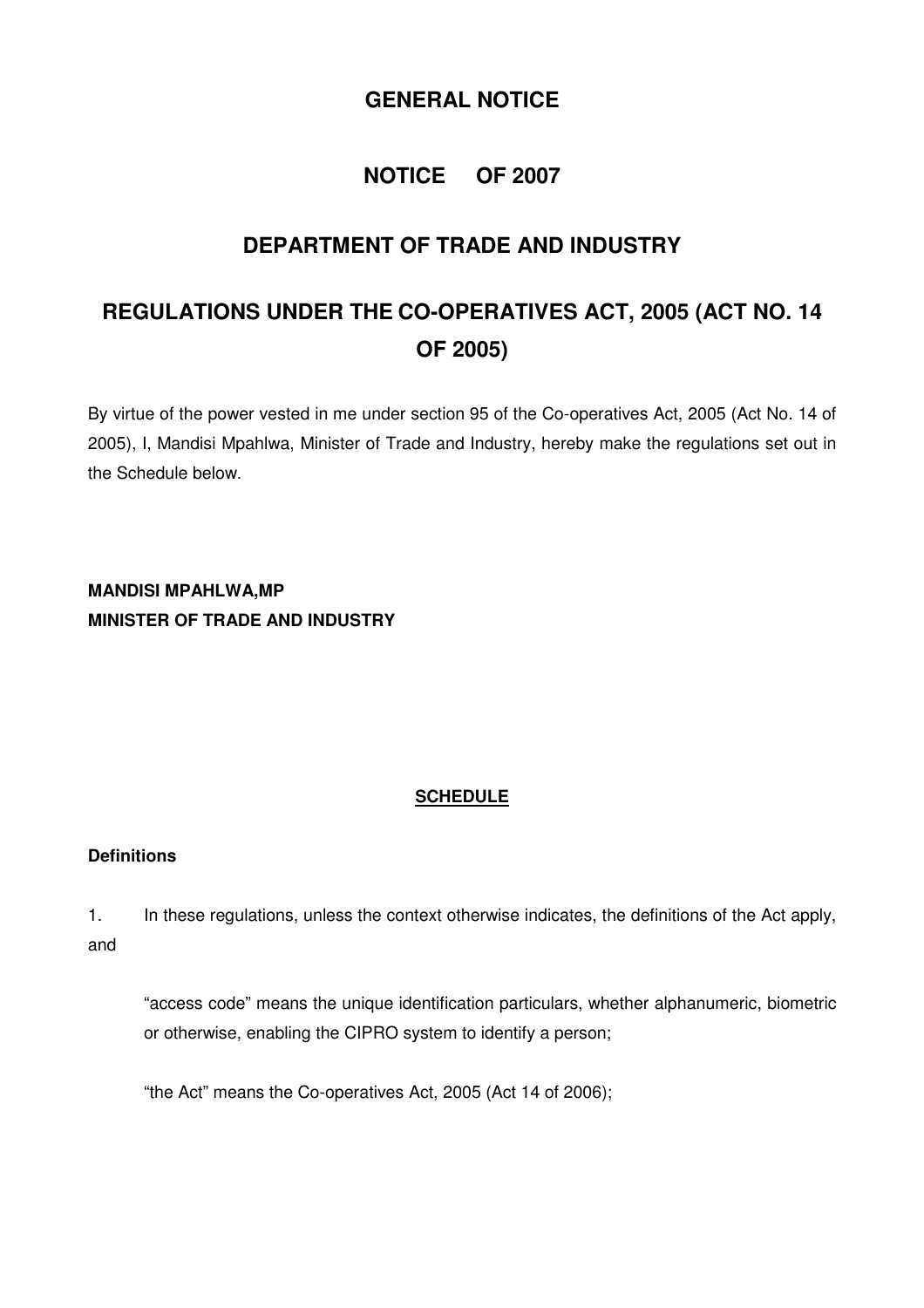# **GENERAL NOTICE**

# **NOTICE OF 2007**

# **DEPARTMENT OF TRADE AND INDUSTRY**

# **REGULATIONS UNDER THE CO-OPERATIVES ACT, 2005 (ACT NO. 14 OF 2005)**

By virtue of the power vested in me under section 95 of the Co-operatives Act, 2005 (Act No. 14 of 2005), I, Mandisi Mpahlwa, Minister of Trade and Industry, hereby make the regulations set out in the Schedule below.

**MANDISI MPAHLWA,MP MINISTER OF TRADE AND INDUSTRY** 

# **SCHEDULE**

#### **Definitions**

1. In these regulations, unless the context otherwise indicates, the definitions of the Act apply, and

"access code" means the unique identification particulars, whether alphanumeric, biometric or otherwise, enabling the CIPRO system to identify a person;

"the Act" means the Co-operatives Act, 2005 (Act 14 of 2006);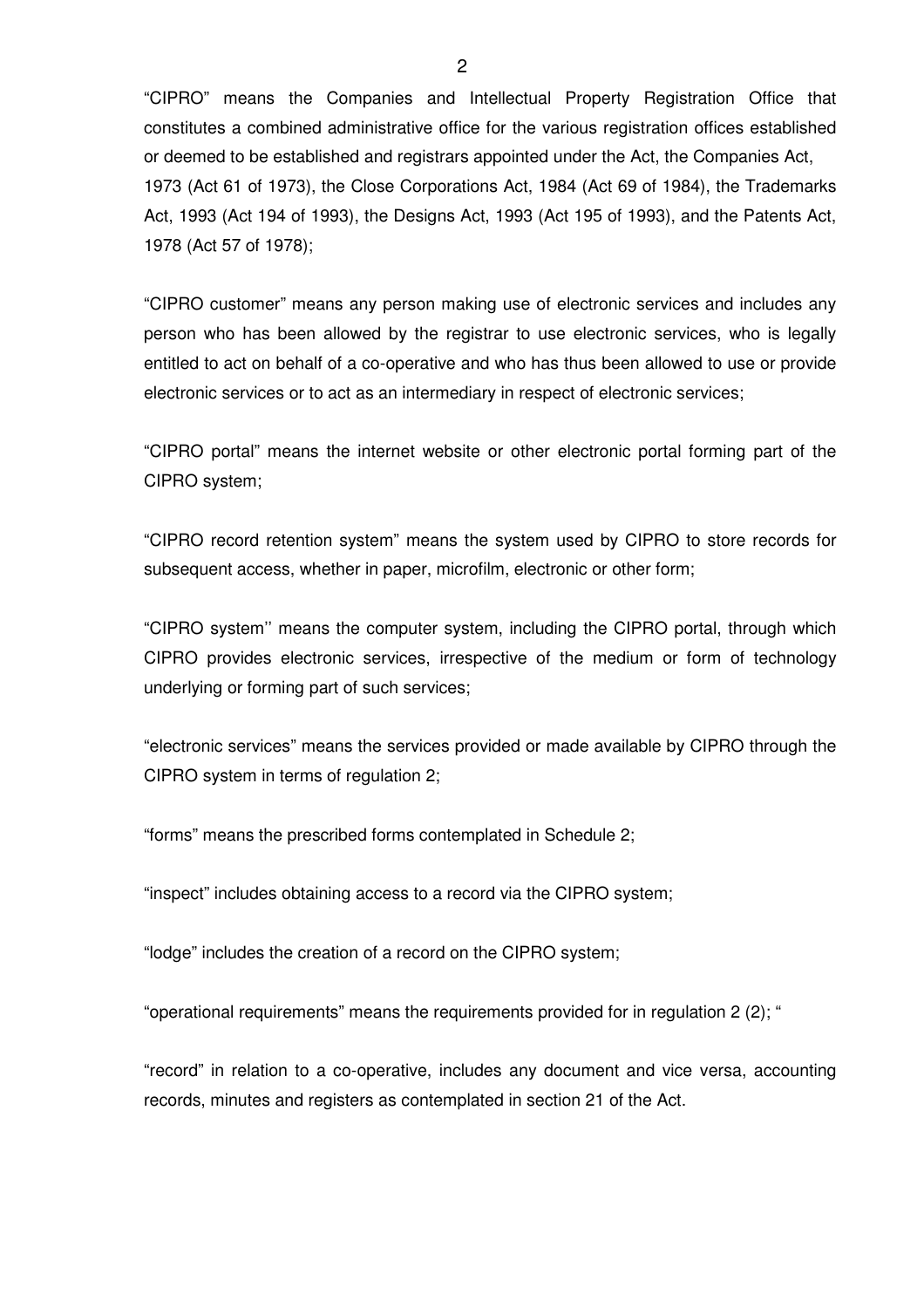"CIPRO" means the Companies and Intellectual Property Registration Office that constitutes a combined administrative office for the various registration offices established or deemed to be established and registrars appointed under the Act, the Companies Act, 1973 (Act 61 of 1973), the Close Corporations Act, 1984 (Act 69 of 1984), the Trademarks Act, 1993 (Act 194 of 1993), the Designs Act, 1993 (Act 195 of 1993), and the Patents Act, 1978 (Act 57 of 1978);

"CIPRO customer" means any person making use of electronic services and includes any person who has been allowed by the registrar to use electronic services, who is legally entitled to act on behalf of a co-operative and who has thus been allowed to use or provide electronic services or to act as an intermediary in respect of electronic services;

"CIPRO portal" means the internet website or other electronic portal forming part of the CIPRO system;

"CIPRO record retention system" means the system used by CIPRO to store records for subsequent access, whether in paper, microfilm, electronic or other form;

"CIPRO system'' means the computer system, including the CIPRO portal, through which CIPRO provides electronic services, irrespective of the medium or form of technology underlying or forming part of such services;

"electronic services" means the services provided or made available by CIPRO through the CIPRO system in terms of regulation 2;

"forms" means the prescribed forms contemplated in Schedule 2;

"inspect" includes obtaining access to a record via the CIPRO system;

"lodge" includes the creation of a record on the CIPRO system;

"operational requirements" means the requirements provided for in regulation 2 (2); "

"record" in relation to a co-operative, includes any document and vice versa, accounting records, minutes and registers as contemplated in section 21 of the Act.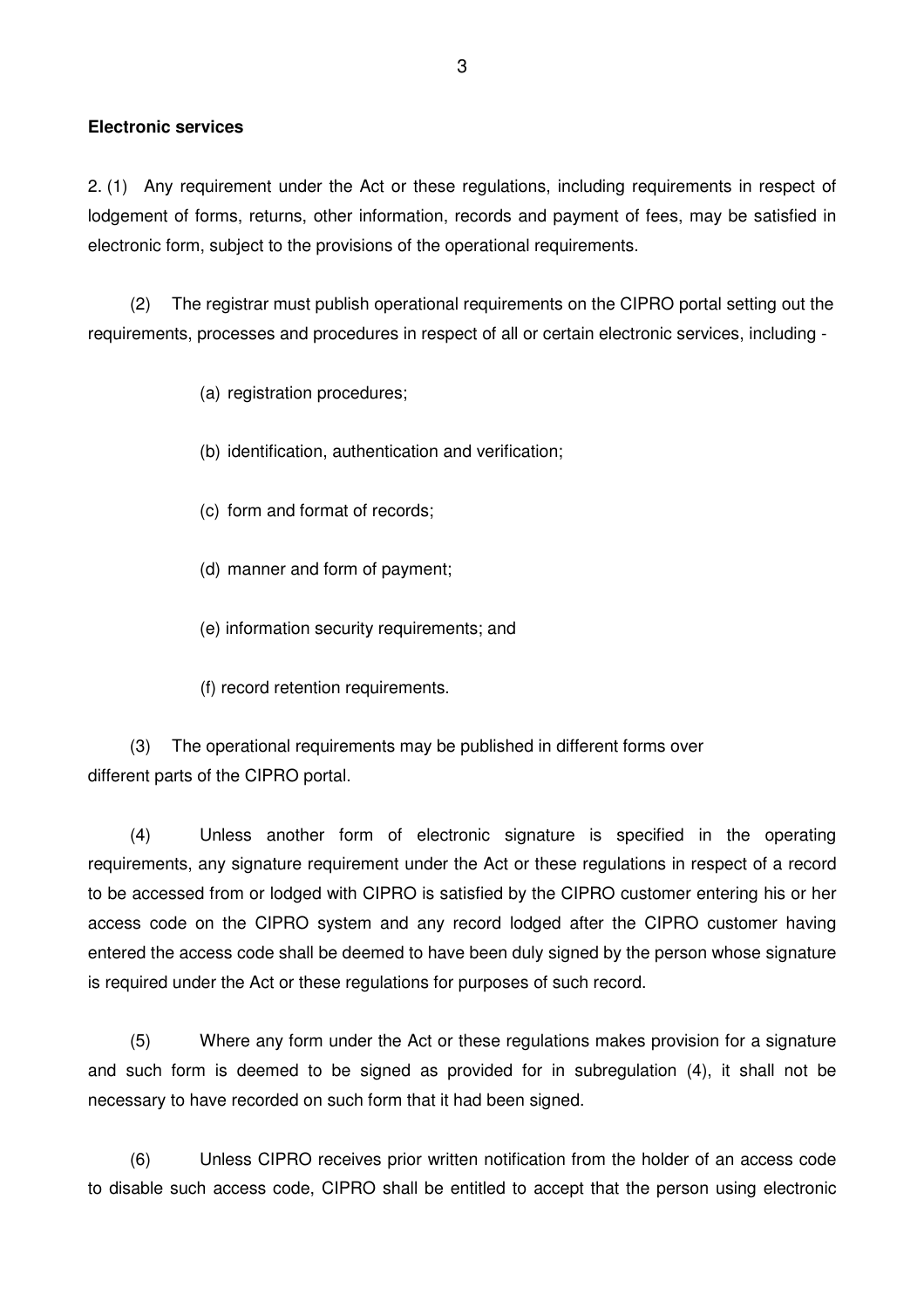#### **Electronic services**

2. (1) Any requirement under the Act or these regulations, including requirements in respect of lodgement of forms, returns, other information, records and payment of fees, may be satisfied in electronic form, subject to the provisions of the operational requirements.

(2) The registrar must publish operational requirements on the CIPRO portal setting out the requirements, processes and procedures in respect of all or certain electronic services, including -

(a) registration procedures;

- (b) identification, authentication and verification;
- (c) form and format of records;
- (d) manner and form of payment;
- (e) information security requirements; and
- (f) record retention requirements.

(3) The operational requirements may be published in different forms over different parts of the CIPRO portal.

(4) Unless another form of electronic signature is specified in the operating requirements, any signature requirement under the Act or these regulations in respect of a record to be accessed from or lodged with CIPRO is satisfied by the CIPRO customer entering his or her access code on the CIPRO system and any record lodged after the CIPRO customer having entered the access code shall be deemed to have been duly signed by the person whose signature is required under the Act or these regulations for purposes of such record.

(5) Where any form under the Act or these regulations makes provision for a signature and such form is deemed to be signed as provided for in subregulation (4), it shall not be necessary to have recorded on such form that it had been signed.

(6) Unless CIPRO receives prior written notification from the holder of an access code to disable such access code, CIPRO shall be entitled to accept that the person using electronic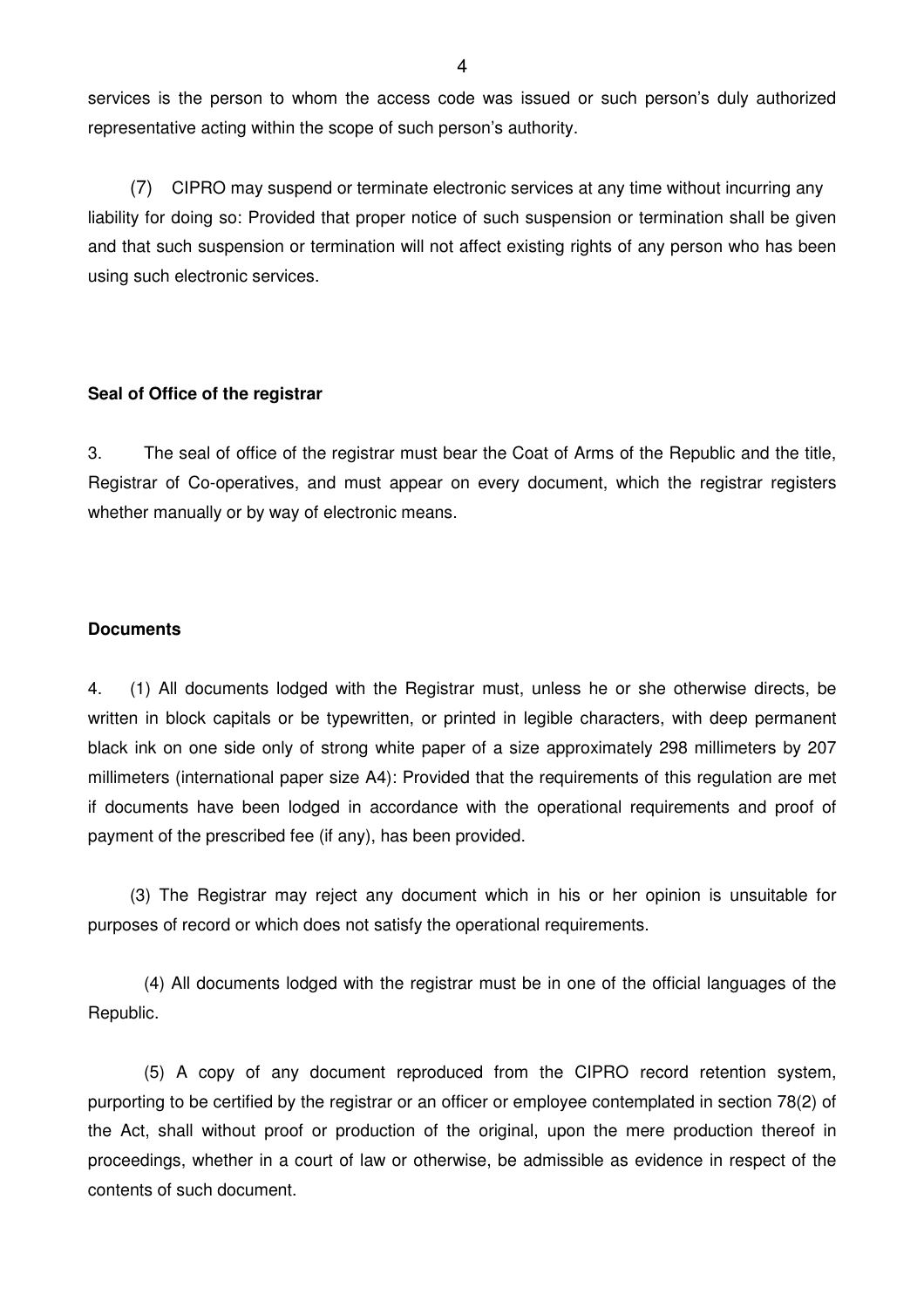services is the person to whom the access code was issued or such person's duly authorized representative acting within the scope of such person's authority.

(7) CIPRO may suspend or terminate electronic services at any time without incurring any liability for doing so: Provided that proper notice of such suspension or termination shall be given and that such suspension or termination will not affect existing rights of any person who has been using such electronic services.

#### **Seal of Office of the registrar**

3. The seal of office of the registrar must bear the Coat of Arms of the Republic and the title, Registrar of Co-operatives, and must appear on every document, which the registrar registers whether manually or by way of electronic means.

#### **Documents**

4. (1) All documents lodged with the Registrar must, unless he or she otherwise directs, be written in block capitals or be typewritten, or printed in legible characters, with deep permanent black ink on one side only of strong white paper of a size approximately 298 millimeters by 207 millimeters (international paper size A4): Provided that the requirements of this regulation are met if documents have been lodged in accordance with the operational requirements and proof of payment of the prescribed fee (if any), has been provided.

 (3) The Registrar may reject any document which in his or her opinion is unsuitable for purposes of record or which does not satisfy the operational requirements.

 (4) All documents lodged with the registrar must be in one of the official languages of the Republic.

 (5) A copy of any document reproduced from the CIPRO record retention system, purporting to be certified by the registrar or an officer or employee contemplated in section 78(2) of the Act, shall without proof or production of the original, upon the mere production thereof in proceedings, whether in a court of law or otherwise, be admissible as evidence in respect of the contents of such document.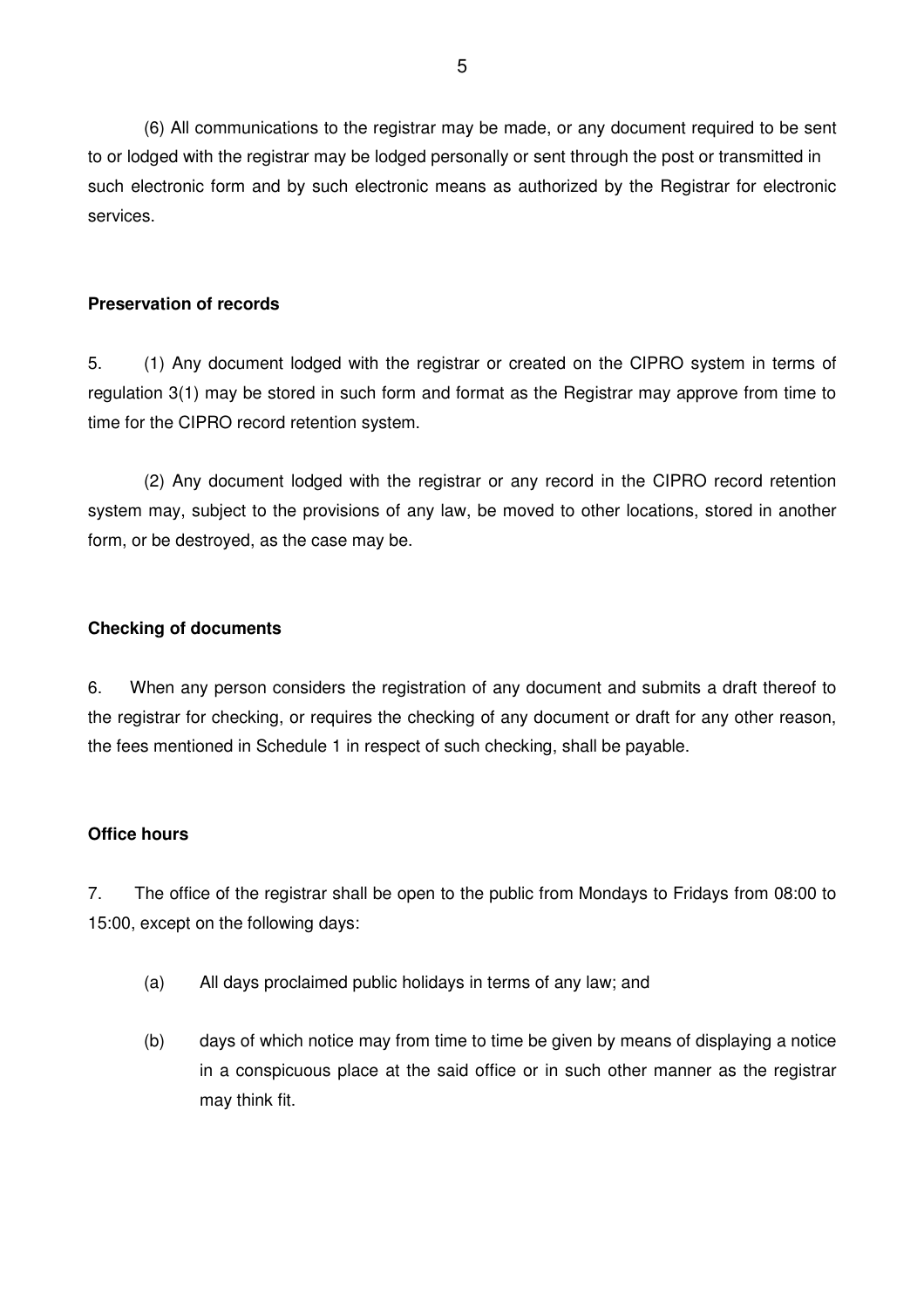(6) All communications to the registrar may be made, or any document required to be sent to or lodged with the registrar may be lodged personally or sent through the post or transmitted in such electronic form and by such electronic means as authorized by the Registrar for electronic services.

# **Preservation of records**

5. (1) Any document lodged with the registrar or created on the CIPRO system in terms of regulation 3(1) may be stored in such form and format as the Registrar may approve from time to time for the CIPRO record retention system.

(2) Any document lodged with the registrar or any record in the CIPRO record retention system may, subject to the provisions of any law, be moved to other locations, stored in another form, or be destroyed, as the case may be.

# **Checking of documents**

6. When any person considers the registration of any document and submits a draft thereof to the registrar for checking, or requires the checking of any document or draft for any other reason, the fees mentioned in Schedule 1 in respect of such checking, shall be payable.

# **Office hours**

7. The office of the registrar shall be open to the public from Mondays to Fridays from 08:00 to 15:00, except on the following days:

- (a) All days proclaimed public holidays in terms of any law; and
- (b) days of which notice may from time to time be given by means of displaying a notice in a conspicuous place at the said office or in such other manner as the registrar may think fit.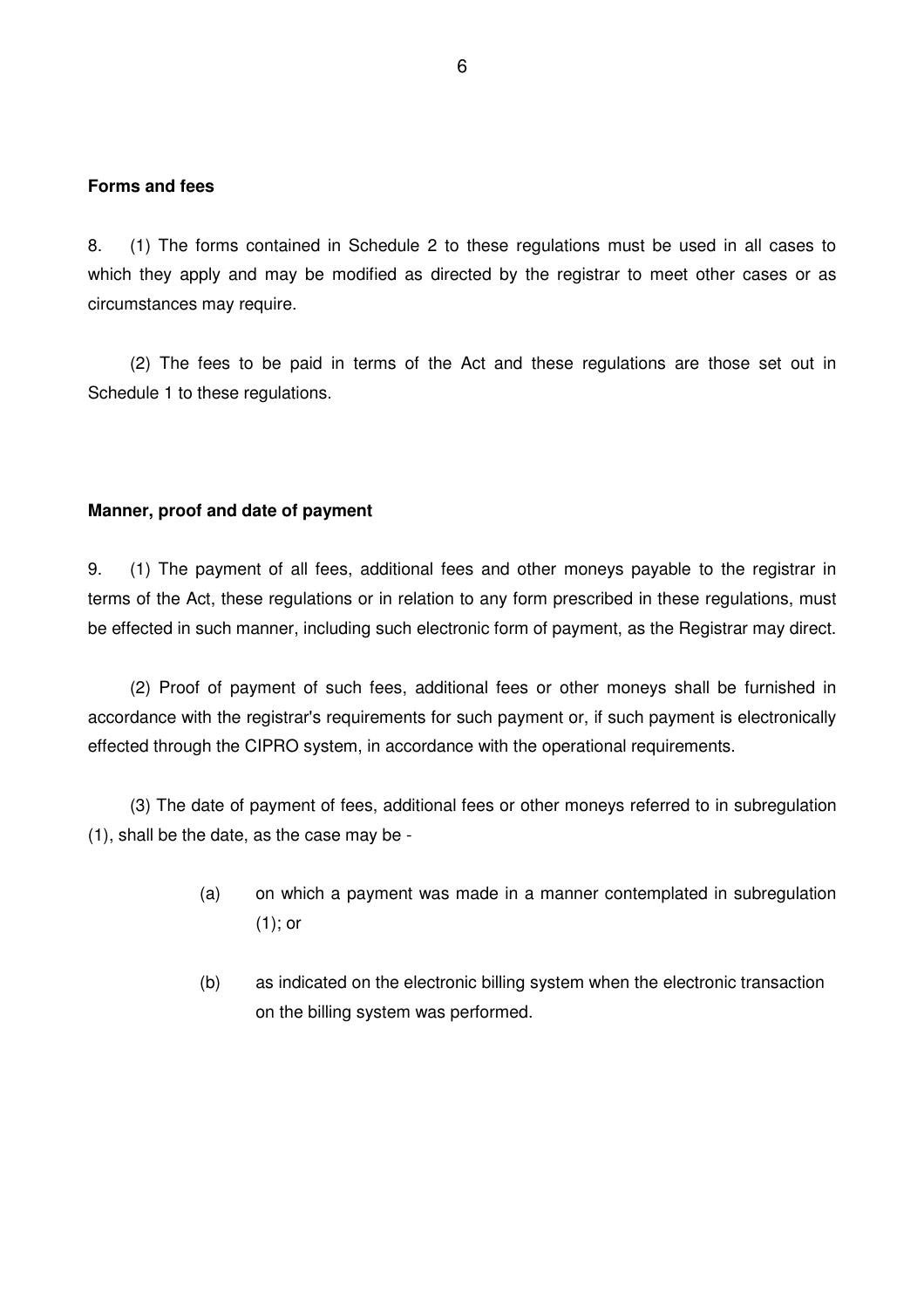#### **Forms and fees**

8. (1) The forms contained in Schedule 2 to these regulations must be used in all cases to which they apply and may be modified as directed by the registrar to meet other cases or as circumstances may require.

 (2) The fees to be paid in terms of the Act and these regulations are those set out in Schedule 1 to these regulations.

#### **Manner, proof and date of payment**

9. (1) The payment of all fees, additional fees and other moneys payable to the registrar in terms of the Act, these regulations or in relation to any form prescribed in these regulations, must be effected in such manner, including such electronic form of payment, as the Registrar may direct.

 (2) Proof of payment of such fees, additional fees or other moneys shall be furnished in accordance with the registrar's requirements for such payment or, if such payment is electronically effected through the CIPRO system, in accordance with the operational requirements.

 (3) The date of payment of fees, additional fees or other moneys referred to in subregulation (1), shall be the date, as the case may be -

- (a) on which a payment was made in a manner contemplated in subregulation (1); or
- (b) as indicated on the electronic billing system when the electronic transaction on the billing system was performed.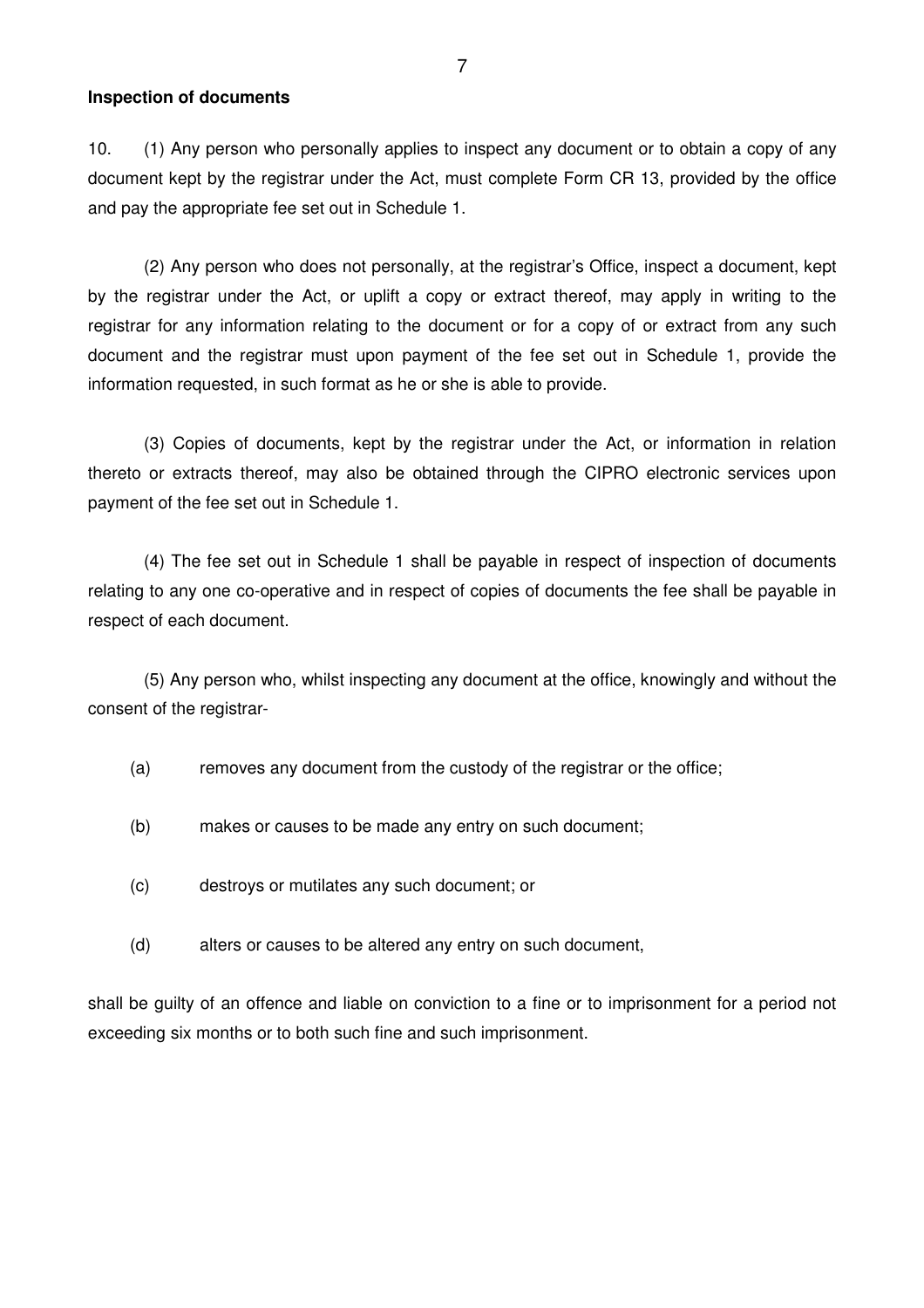#### **Inspection of documents**

10. (1) Any person who personally applies to inspect any document or to obtain a copy of any document kept by the registrar under the Act, must complete Form CR 13, provided by the office and pay the appropriate fee set out in Schedule 1.

(2) Any person who does not personally, at the registrar's Office, inspect a document, kept by the registrar under the Act, or uplift a copy or extract thereof, may apply in writing to the registrar for any information relating to the document or for a copy of or extract from any such document and the registrar must upon payment of the fee set out in Schedule 1, provide the information requested, in such format as he or she is able to provide.

 (3) Copies of documents, kept by the registrar under the Act, or information in relation thereto or extracts thereof, may also be obtained through the CIPRO electronic services upon payment of the fee set out in Schedule 1.

 (4) The fee set out in Schedule 1 shall be payable in respect of inspection of documents relating to any one co-operative and in respect of copies of documents the fee shall be payable in respect of each document.

(5) Any person who, whilst inspecting any document at the office, knowingly and without the consent of the registrar-

- (a) removes any document from the custody of the registrar or the office;
- (b) makes or causes to be made any entry on such document;
- (c) destroys or mutilates any such document; or
- (d) alters or causes to be altered any entry on such document,

shall be guilty of an offence and liable on conviction to a fine or to imprisonment for a period not exceeding six months or to both such fine and such imprisonment.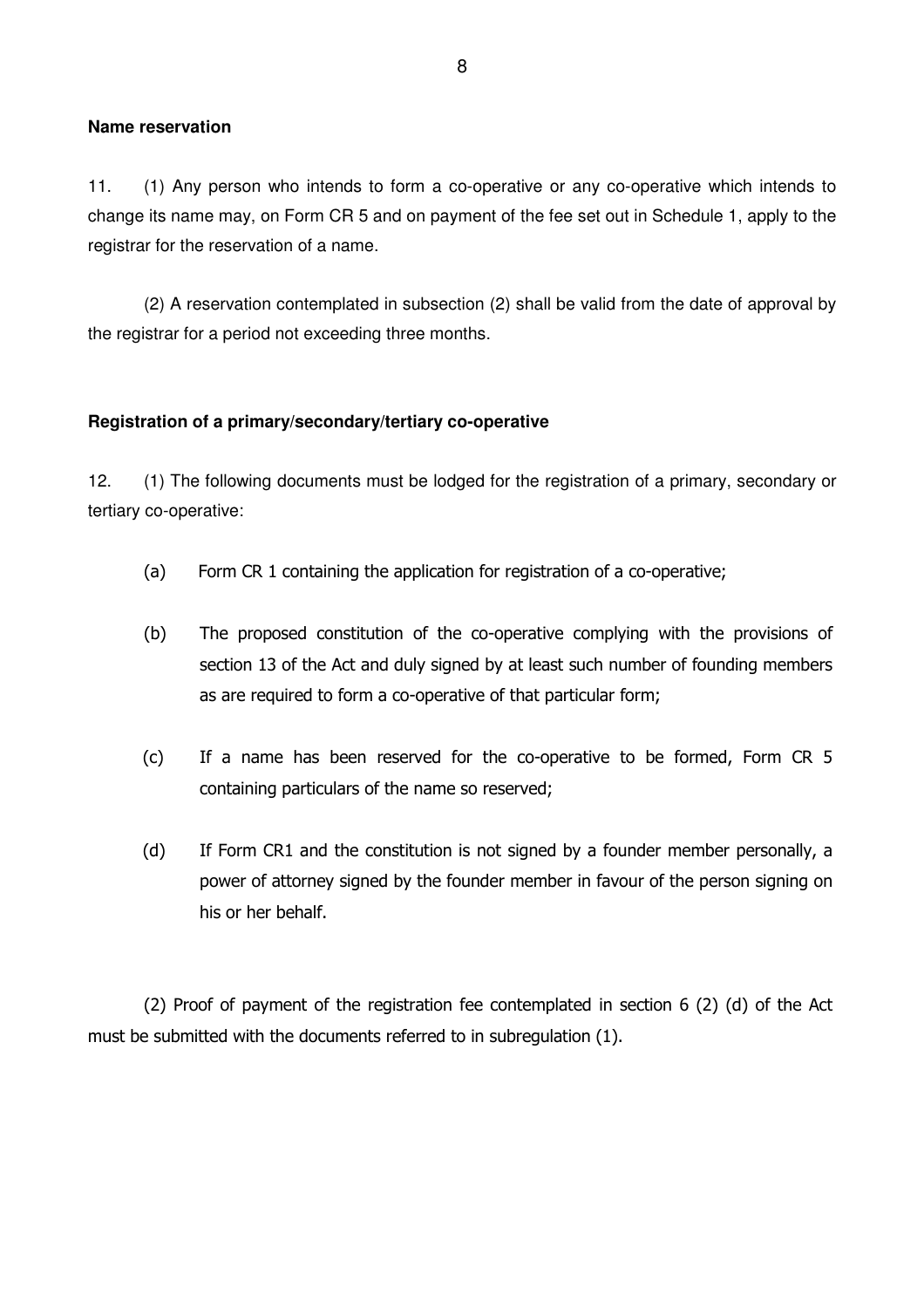#### **Name reservation**

11. (1) Any person who intends to form a co-operative or any co-operative which intends to change its name may, on Form CR 5 and on payment of the fee set out in Schedule 1, apply to the registrar for the reservation of a name.

 (2) A reservation contemplated in subsection (2) shall be valid from the date of approval by the registrar for a period not exceeding three months.

#### **Registration of a primary/secondary/tertiary co-operative**

12. (1) The following documents must be lodged for the registration of a primary, secondary or tertiary co-operative:

- (a) Form CR 1 containing the application for registration of a co-operative;
- (b) The proposed constitution of the co-operative complying with the provisions of section 13 of the Act and duly signed by at least such number of founding members as are required to form a co-operative of that particular form;
- (c) If a name has been reserved for the co-operative to be formed, Form CR 5 containing particulars of the name so reserved;
- (d) If Form CR1 and the constitution is not signed by a founder member personally, a power of attorney signed by the founder member in favour of the person signing on his or her behalf.

 (2) Proof of payment of the registration fee contemplated in section 6 (2) (d) of the Act must be submitted with the documents referred to in subregulation (1).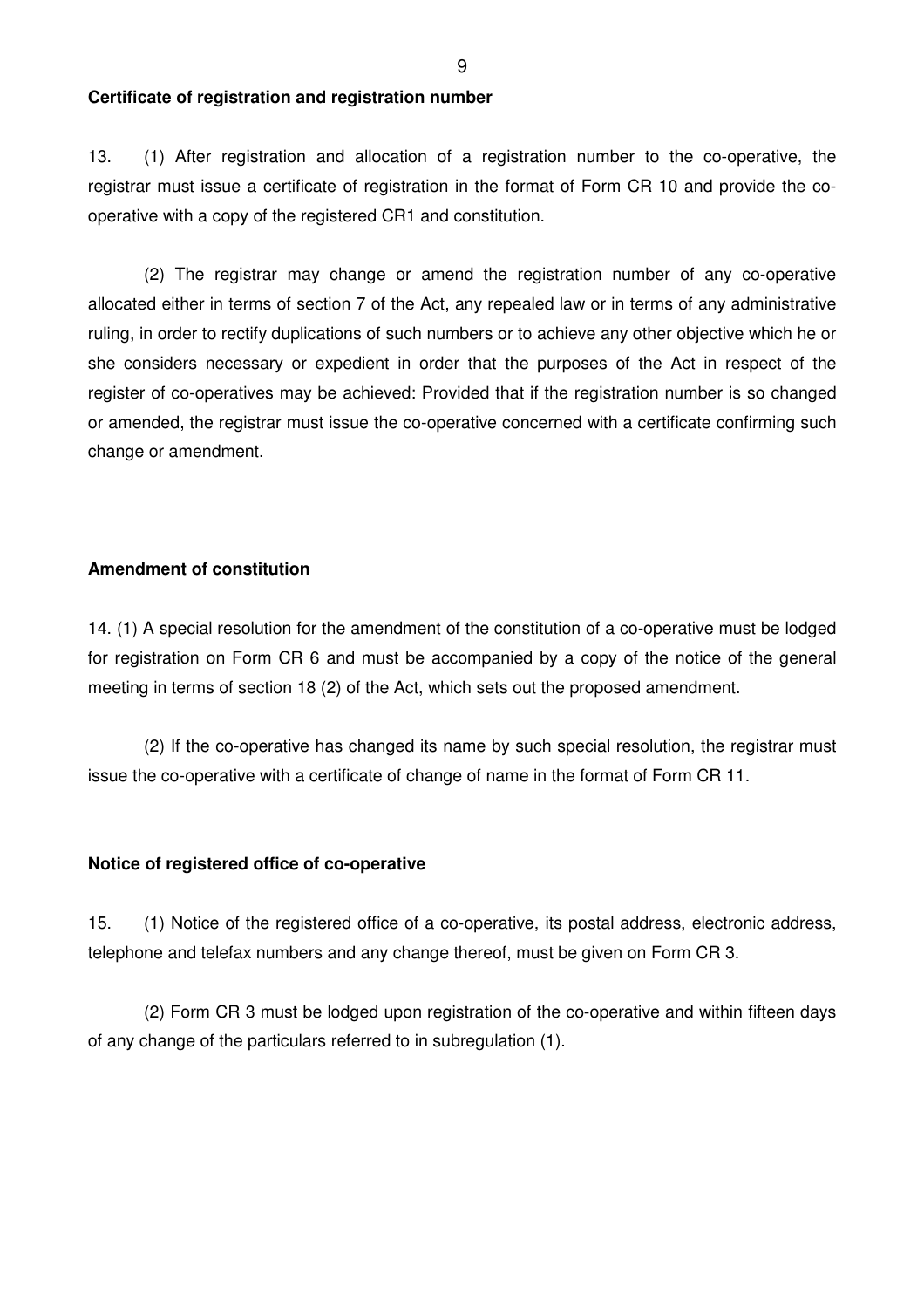#### **Certificate of registration and registration number**

13. (1) After registration and allocation of a registration number to the co-operative, the registrar must issue a certificate of registration in the format of Form CR 10 and provide the cooperative with a copy of the registered CR1 and constitution.

(2) The registrar may change or amend the registration number of any co-operative allocated either in terms of section 7 of the Act, any repealed law or in terms of any administrative ruling, in order to rectify duplications of such numbers or to achieve any other objective which he or she considers necessary or expedient in order that the purposes of the Act in respect of the register of co-operatives may be achieved: Provided that if the registration number is so changed or amended, the registrar must issue the co-operative concerned with a certificate confirming such change or amendment.

#### **Amendment of constitution**

14. (1) A special resolution for the amendment of the constitution of a co-operative must be lodged for registration on Form CR 6 and must be accompanied by a copy of the notice of the general meeting in terms of section 18 (2) of the Act, which sets out the proposed amendment.

 (2) If the co-operative has changed its name by such special resolution, the registrar must issue the co-operative with a certificate of change of name in the format of Form CR 11.

#### **Notice of registered office of co-operative**

15. (1) Notice of the registered office of a co-operative, its postal address, electronic address, telephone and telefax numbers and any change thereof, must be given on Form CR 3.

 (2) Form CR 3 must be lodged upon registration of the co-operative and within fifteen days of any change of the particulars referred to in subregulation (1).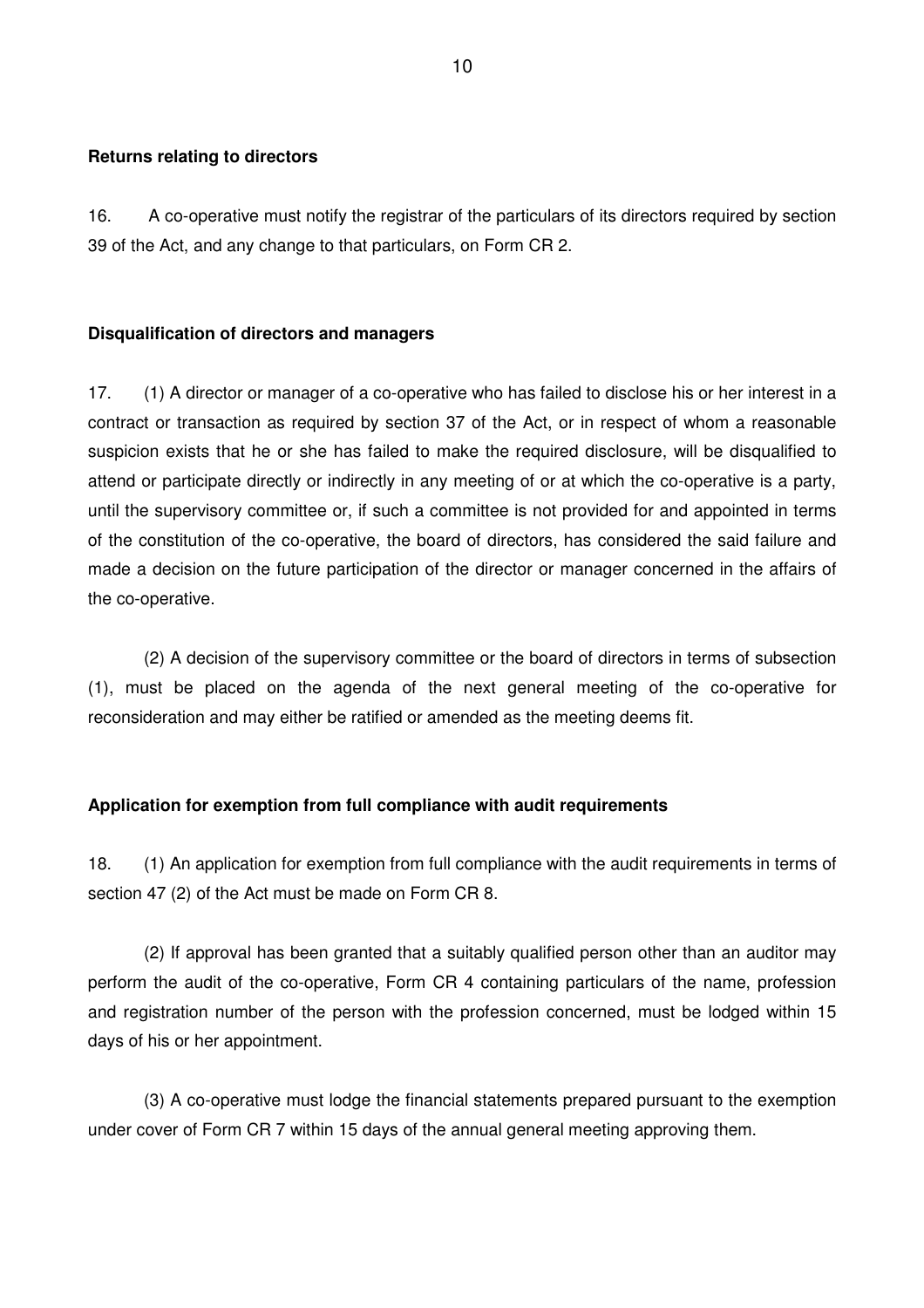#### **Returns relating to directors**

16. A co-operative must notify the registrar of the particulars of its directors required by section 39 of the Act, and any change to that particulars, on Form CR 2.

#### **Disqualification of directors and managers**

17. (1) A director or manager of a co-operative who has failed to disclose his or her interest in a contract or transaction as required by section 37 of the Act, or in respect of whom a reasonable suspicion exists that he or she has failed to make the required disclosure, will be disqualified to attend or participate directly or indirectly in any meeting of or at which the co-operative is a party, until the supervisory committee or, if such a committee is not provided for and appointed in terms of the constitution of the co-operative, the board of directors, has considered the said failure and made a decision on the future participation of the director or manager concerned in the affairs of the co-operative.

 (2) A decision of the supervisory committee or the board of directors in terms of subsection (1), must be placed on the agenda of the next general meeting of the co-operative for reconsideration and may either be ratified or amended as the meeting deems fit.

#### **Application for exemption from full compliance with audit requirements**

18. (1) An application for exemption from full compliance with the audit requirements in terms of section 47 (2) of the Act must be made on Form CR 8.

 (2) If approval has been granted that a suitably qualified person other than an auditor may perform the audit of the co-operative, Form CR 4 containing particulars of the name, profession and registration number of the person with the profession concerned, must be lodged within 15 days of his or her appointment.

 (3) A co-operative must lodge the financial statements prepared pursuant to the exemption under cover of Form CR 7 within 15 days of the annual general meeting approving them.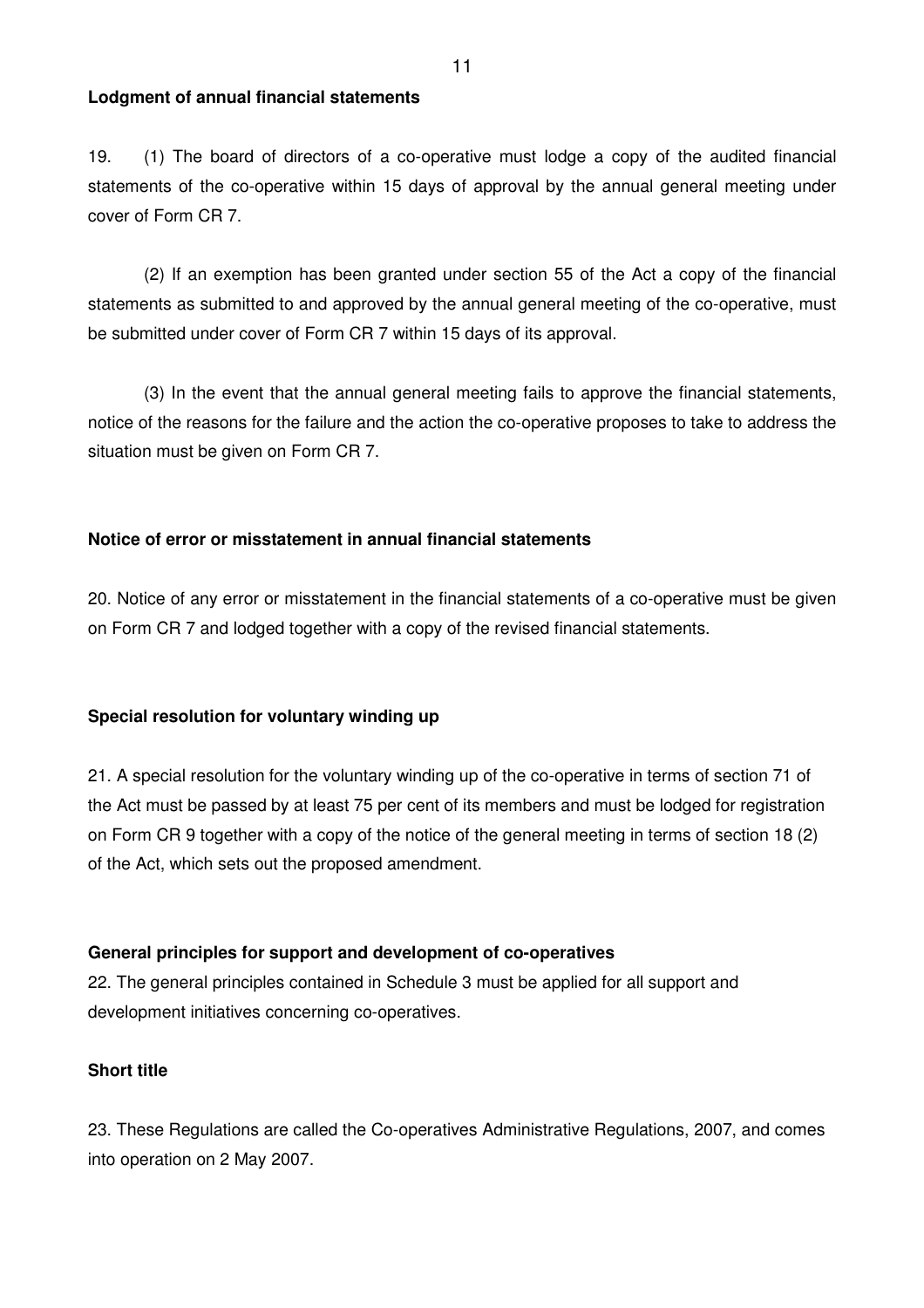#### **Lodgment of annual financial statements**

19. (1) The board of directors of a co-operative must lodge a copy of the audited financial statements of the co-operative within 15 days of approval by the annual general meeting under cover of Form CR 7.

 (2) If an exemption has been granted under section 55 of the Act a copy of the financial statements as submitted to and approved by the annual general meeting of the co-operative, must be submitted under cover of Form CR 7 within 15 days of its approval.

 (3) In the event that the annual general meeting fails to approve the financial statements, notice of the reasons for the failure and the action the co-operative proposes to take to address the situation must be given on Form CR 7.

### **Notice of error or misstatement in annual financial statements**

20. Notice of any error or misstatement in the financial statements of a co-operative must be given on Form CR 7 and lodged together with a copy of the revised financial statements.

#### **Special resolution for voluntary winding up**

21. A special resolution for the voluntary winding up of the co-operative in terms of section 71 of the Act must be passed by at least 75 per cent of its members and must be lodged for registration on Form CR 9 together with a copy of the notice of the general meeting in terms of section 18 (2) of the Act, which sets out the proposed amendment.

# **General principles for support and development of co-operatives**

22. The general principles contained in Schedule 3 must be applied for all support and development initiatives concerning co-operatives.

### **Short title**

23. These Regulations are called the Co-operatives Administrative Regulations, 2007, and comes into operation on 2 May 2007.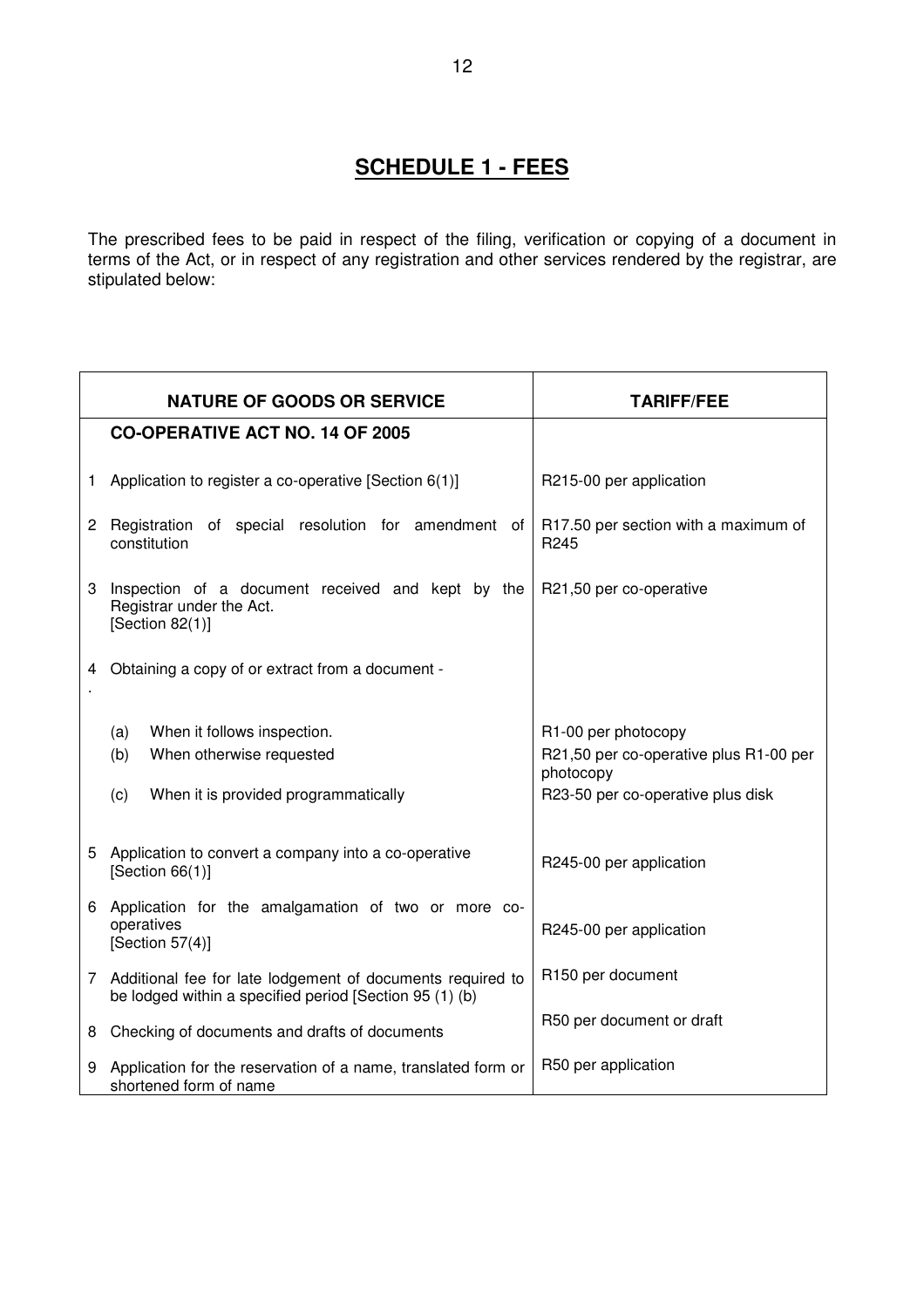# **SCHEDULE 1 - FEES**

The prescribed fees to be paid in respect of the filing, verification or copying of a document in terms of the Act, or in respect of any registration and other services rendered by the registrar, are stipulated below:

<u> 1989 - Johann Barn, fransk politik (f. 1989)</u>

|                                                                                                                                     | <b>NATURE OF GOODS OR SERVICE</b>                                                                                     | <b>TARIFF/FEE</b>                                                                                               |  |  |
|-------------------------------------------------------------------------------------------------------------------------------------|-----------------------------------------------------------------------------------------------------------------------|-----------------------------------------------------------------------------------------------------------------|--|--|
|                                                                                                                                     | <b>CO-OPERATIVE ACT NO. 14 OF 2005</b>                                                                                |                                                                                                                 |  |  |
| 1                                                                                                                                   | Application to register a co-operative [Section 6(1)]                                                                 | R215-00 per application                                                                                         |  |  |
| $\mathbf{2}$                                                                                                                        | Registration of special resolution for amendment of<br>constitution                                                   | R17.50 per section with a maximum of<br>R <sub>245</sub>                                                        |  |  |
| Inspection of a document received and kept by the<br>3<br>R21,50 per co-operative<br>Registrar under the Act.<br>[Section $82(1)$ ] |                                                                                                                       |                                                                                                                 |  |  |
|                                                                                                                                     | 4 Obtaining a copy of or extract from a document -                                                                    |                                                                                                                 |  |  |
|                                                                                                                                     | When it follows inspection.<br>(a)<br>(b)<br>When otherwise requested<br>When it is provided programmatically<br>(c)  | R1-00 per photocopy<br>R21,50 per co-operative plus R1-00 per<br>photocopy<br>R23-50 per co-operative plus disk |  |  |
| 5                                                                                                                                   | Application to convert a company into a co-operative<br>[Section $66(1)$ ]                                            | R245-00 per application                                                                                         |  |  |
| 6                                                                                                                                   | Application for the amalgamation of two or more co-<br>operatives<br>[Section $57(4)$ ]                               | R245-00 per application                                                                                         |  |  |
| 7                                                                                                                                   | Additional fee for late lodgement of documents required to<br>be lodged within a specified period [Section 95 (1) (b) | R150 per document                                                                                               |  |  |
|                                                                                                                                     | 8 Checking of documents and drafts of documents                                                                       | R50 per document or draft                                                                                       |  |  |
| 9                                                                                                                                   | Application for the reservation of a name, translated form or<br>shortened form of name                               | R50 per application                                                                                             |  |  |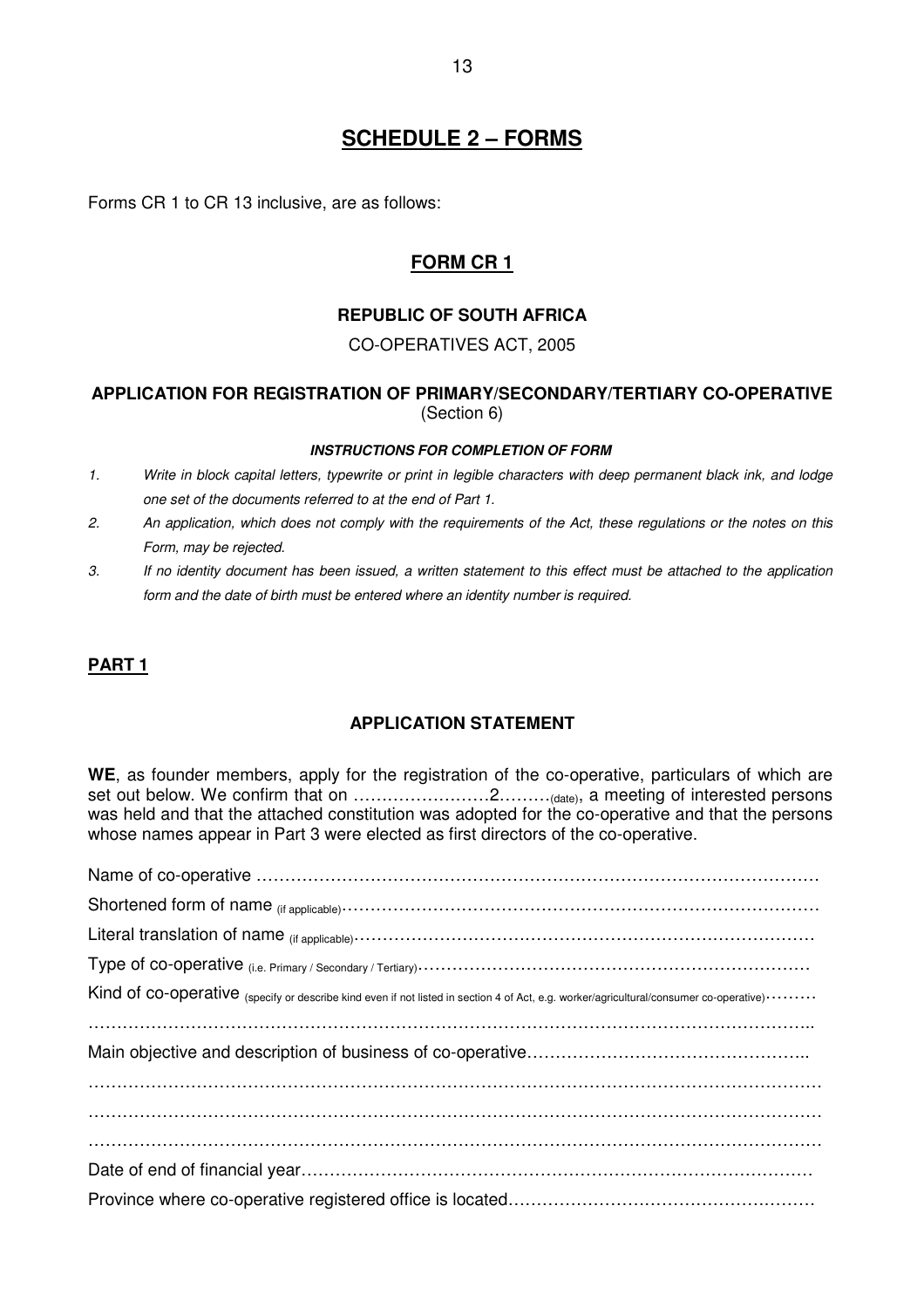Forms CR 1 to CR 13 inclusive, are as follows:

# **FORM CR 1**

# **REPUBLIC OF SOUTH AFRICA**

### CO-OPERATIVES ACT, 2005

### **APPLICATION FOR REGISTRATION OF PRIMARY/SECONDARY/TERTIARY CO-OPERATIVE**  (Section 6)

#### **INSTRUCTIONS FOR COMPLETION OF FORM**

- 1. Write in block capital letters, typewrite or print in legible characters with deep permanent black ink, and lodge one set of the documents referred to at the end of Part 1.
- 2. An application, which does not comply with the requirements of the Act, these regulations or the notes on this Form, may be rejected.
- 3. If no identity document has been issued, a written statement to this effect must be attached to the application form and the date of birth must be entered where an identity number is required.

# **PART 1**

#### **APPLICATION STATEMENT**

**WE**, as founder members, apply for the registration of the co-operative, particulars of which are set out below. We confirm that on ……………………2………(date), a meeting of interested persons was held and that the attached constitution was adopted for the co-operative and that the persons whose names appear in Part 3 were elected as first directors of the co-operative.

| Kind of co-operative (specify or describe kind even if not listed in section 4 of Act, e.g. worker/agricultural/consumer co-operative) |
|----------------------------------------------------------------------------------------------------------------------------------------|
|                                                                                                                                        |
|                                                                                                                                        |
|                                                                                                                                        |
|                                                                                                                                        |
|                                                                                                                                        |
|                                                                                                                                        |
|                                                                                                                                        |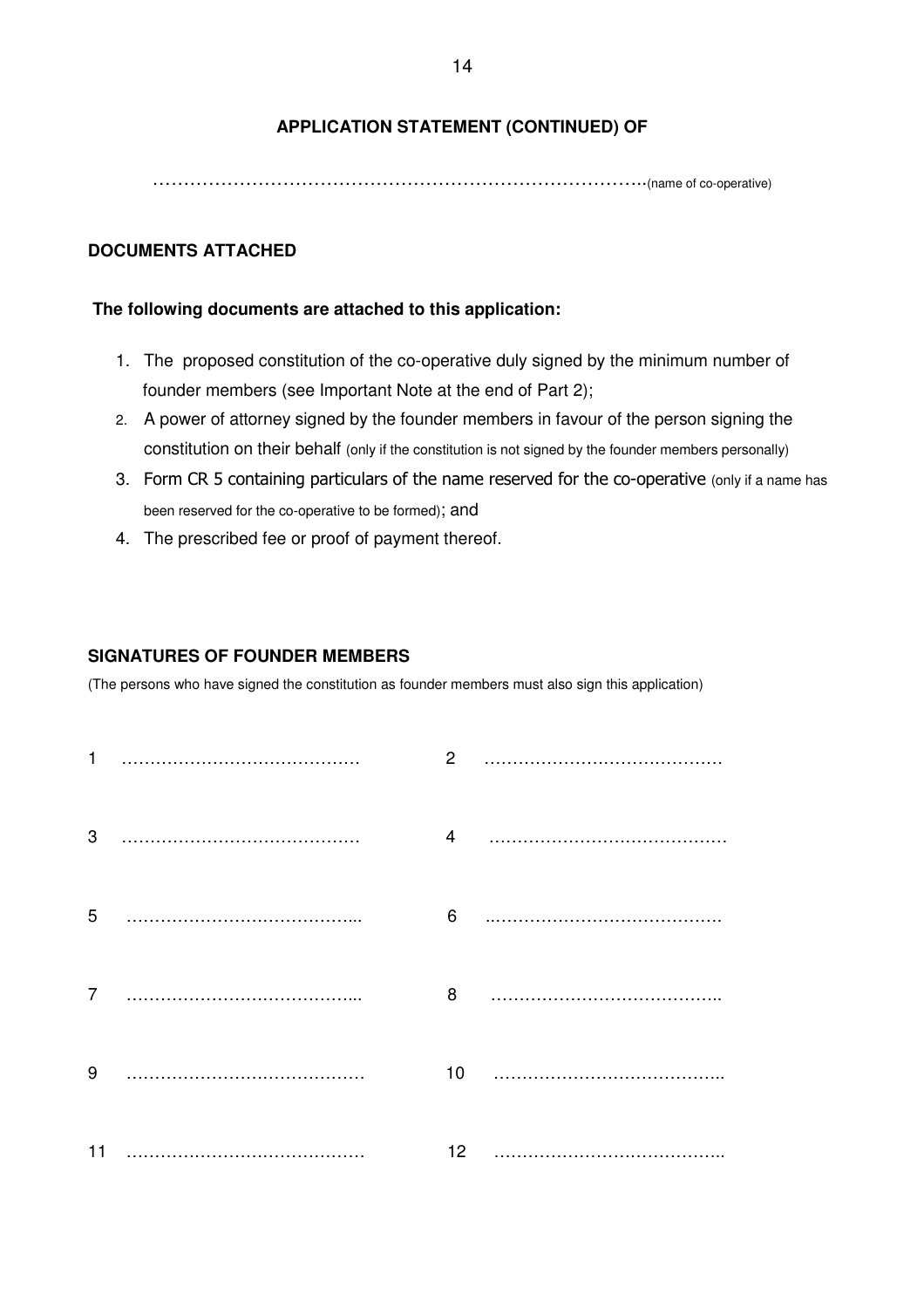# **APPLICATION STATEMENT (CONTINUED) OF**

……………………………………………………………………..(name of co-operative)

#### **DOCUMENTS ATTACHED**

#### **The following documents are attached to this application:**

- 1. The proposed constitution of the co-operative duly signed by the minimum number of founder members (see Important Note at the end of Part 2);
- 2. A power of attorney signed by the founder members in favour of the person signing the constitution on their behalf (only if the constitution is not signed by the founder members personally)
- 3. Form CR 5 containing particulars of the name reserved for the co-operative (only if a name has been reserved for the co-operative to be formed); and
- 4. The prescribed fee or proof of payment thereof.

#### **SIGNATURES OF FOUNDER MEMBERS**

(The persons who have signed the constitution as founder members must also sign this application)

|    | $\mathbf{2}$    |  |
|----|-----------------|--|
| 3  | $\overline{4}$  |  |
| 5  | 6               |  |
| 7  | 8               |  |
| 9  | 10              |  |
| 11 | 12 <sub>2</sub> |  |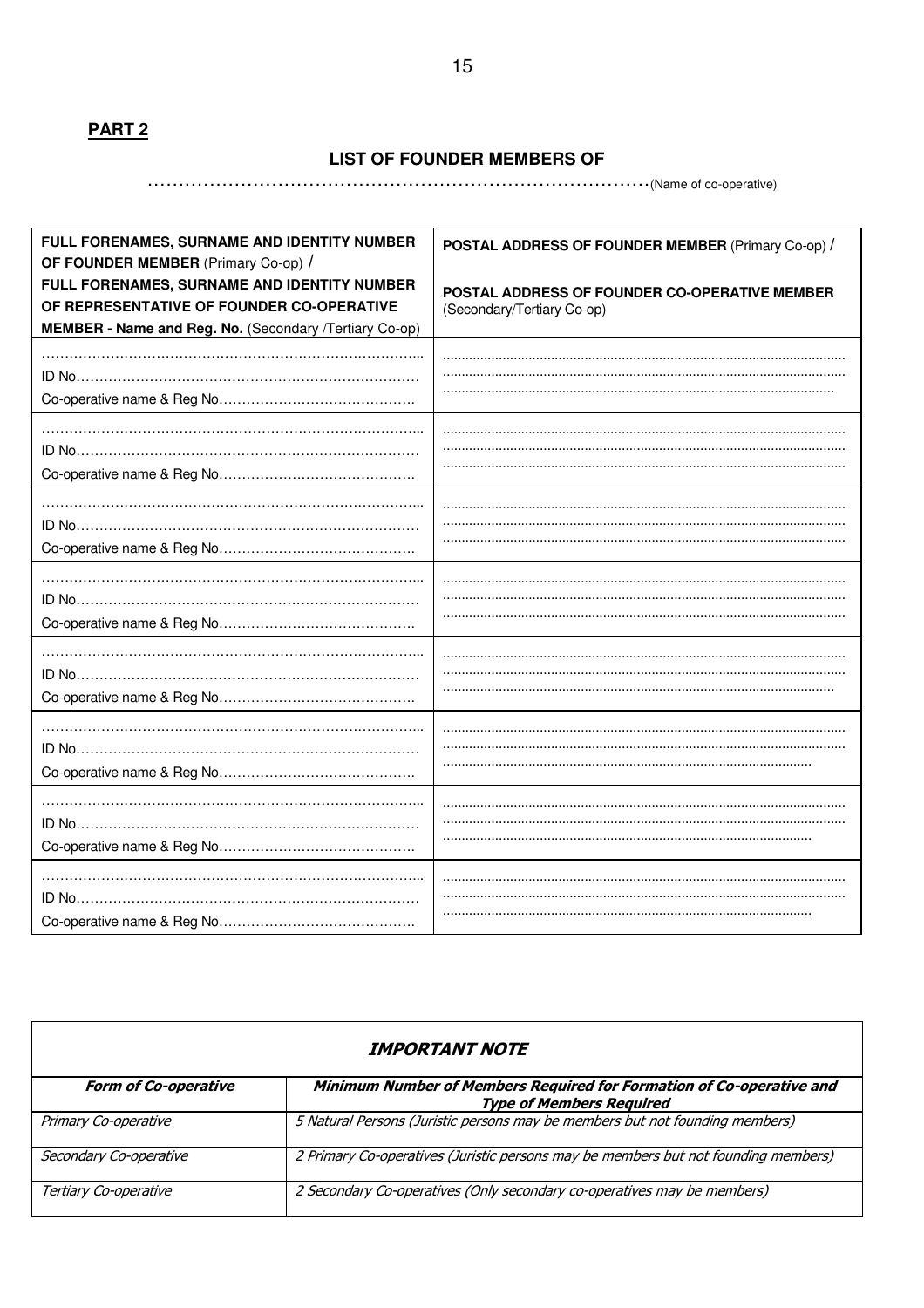# **PART 2**

#### **LIST OF FOUNDER MEMBERS OF**

# ………………………………………………………………………(Name of co-operative)

| FULL FORENAMES, SURNAME AND IDENTITY NUMBER<br>OF FOUNDER MEMBER (Primary Co-op) /                                                                 | POSTAL ADDRESS OF FOUNDER MEMBER (Primary Co-op) /                          |
|----------------------------------------------------------------------------------------------------------------------------------------------------|-----------------------------------------------------------------------------|
| FULL FORENAMES, SURNAME AND IDENTITY NUMBER<br>OF REPRESENTATIVE OF FOUNDER CO-OPERATIVE<br>MEMBER - Name and Reg. No. (Secondary /Tertiary Co-op) | POSTAL ADDRESS OF FOUNDER CO-OPERATIVE MEMBER<br>(Secondary/Tertiary Co-op) |
|                                                                                                                                                    |                                                                             |
|                                                                                                                                                    |                                                                             |
|                                                                                                                                                    |                                                                             |
|                                                                                                                                                    |                                                                             |
|                                                                                                                                                    |                                                                             |
|                                                                                                                                                    |                                                                             |
|                                                                                                                                                    |                                                                             |
|                                                                                                                                                    |                                                                             |
|                                                                                                                                                    |                                                                             |
|                                                                                                                                                    |                                                                             |
|                                                                                                                                                    |                                                                             |

| <i><b>IMPORTANT NOTE</b></i> |                                                                                                         |  |  |
|------------------------------|---------------------------------------------------------------------------------------------------------|--|--|
| <b>Form of Co-operative</b>  | Minimum Number of Members Required for Formation of Co-operative and<br><b>Type of Members Required</b> |  |  |
| Primary Co-operative         | 5 Natural Persons (Juristic persons may be members but not founding members)                            |  |  |
| Secondary Co-operative       | 2 Primary Co-operatives (Juristic persons may be members but not founding members)                      |  |  |
| Tertiary Co-operative        | 2 Secondary Co-operatives (Only secondary co-operatives may be members)                                 |  |  |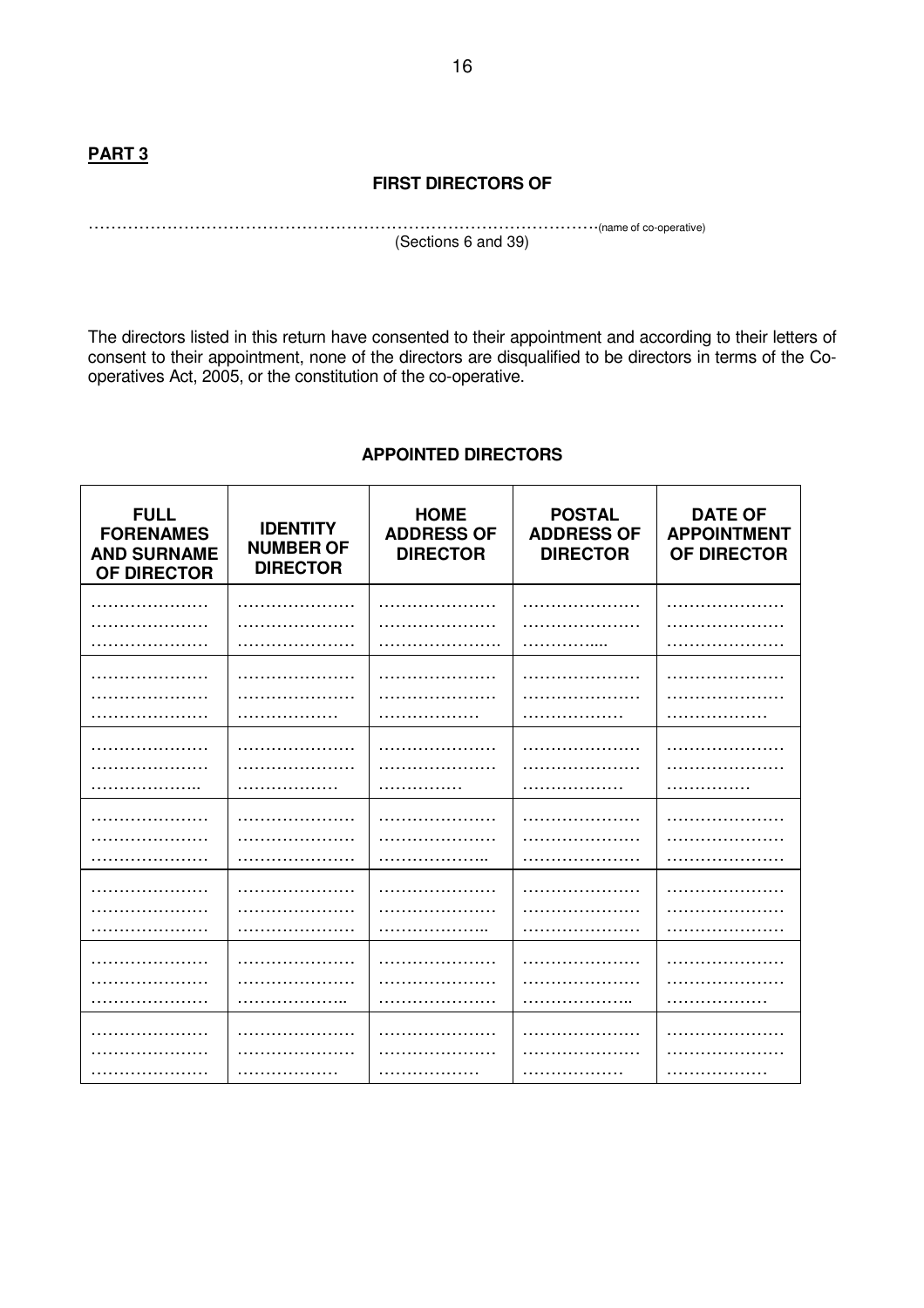### **FIRST DIRECTORS OF**

……………………………………………………………………………….(name of co-operative) (Sections 6 and 39)

The directors listed in this return have consented to their appointment and according to their letters of consent to their appointment, none of the directors are disqualified to be directors in terms of the Cooperatives Act, 2005, or the constitution of the co-operative.

# **APPOINTED DIRECTORS**

| <b>FULL</b><br><b>FORENAMES</b><br><b>AND SURNAME</b><br>OF DIRECTOR | <b>IDENTITY</b><br><b>NUMBER OF</b><br><b>DIRECTOR</b> | <b>HOME</b><br><b>ADDRESS OF</b><br><b>DIRECTOR</b> | <b>POSTAL</b><br><b>ADDRESS OF</b><br><b>DIRECTOR</b> | <b>DATE OF</b><br><b>APPOINTMENT</b><br>OF DIRECTOR |
|----------------------------------------------------------------------|--------------------------------------------------------|-----------------------------------------------------|-------------------------------------------------------|-----------------------------------------------------|
|                                                                      |                                                        |                                                     |                                                       |                                                     |
|                                                                      |                                                        |                                                     |                                                       |                                                     |
|                                                                      |                                                        |                                                     |                                                       |                                                     |
|                                                                      |                                                        |                                                     |                                                       |                                                     |
|                                                                      |                                                        |                                                     |                                                       |                                                     |
|                                                                      |                                                        |                                                     |                                                       |                                                     |
|                                                                      |                                                        |                                                     |                                                       |                                                     |
|                                                                      |                                                        |                                                     |                                                       |                                                     |
|                                                                      |                                                        |                                                     |                                                       |                                                     |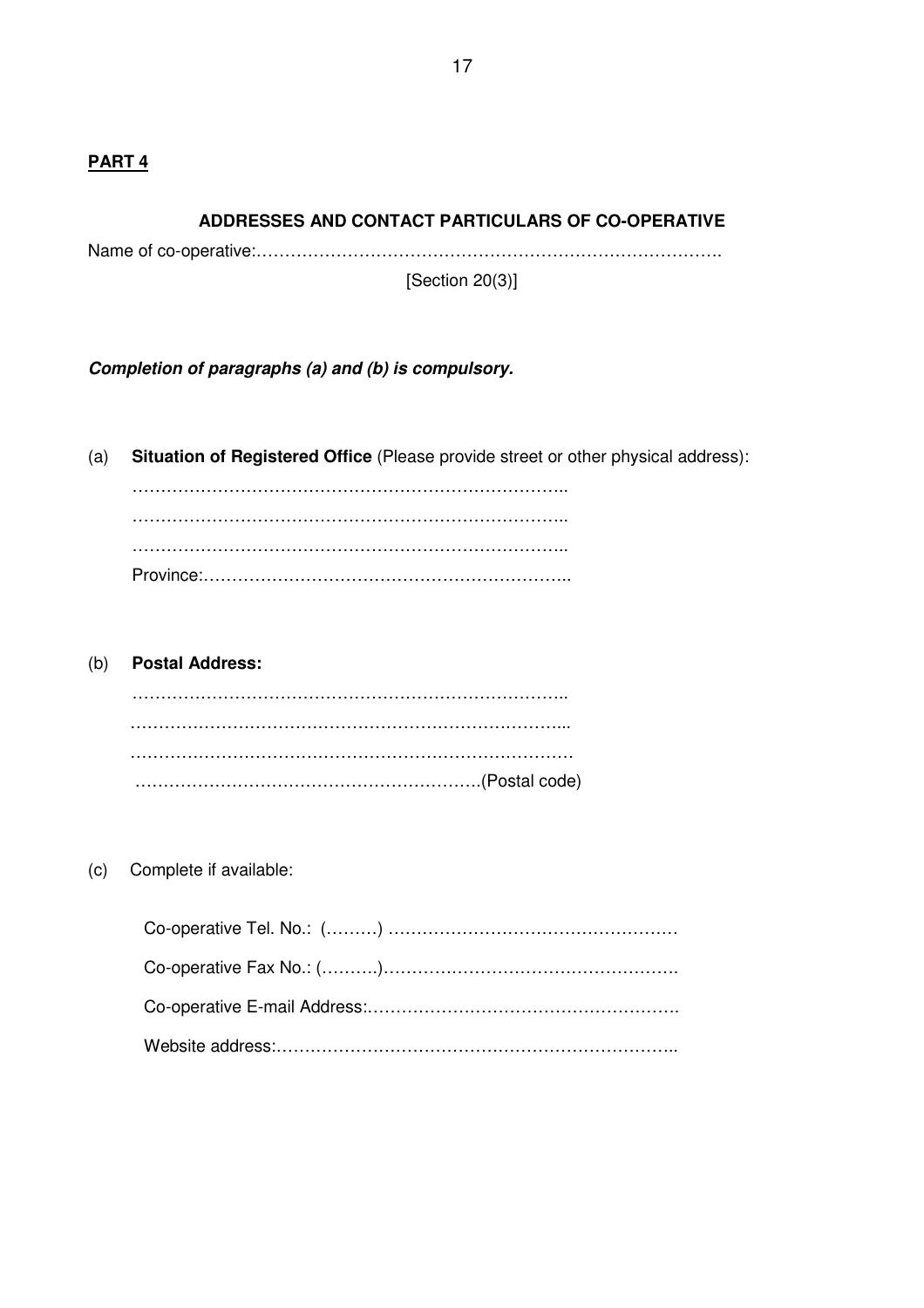### **PART 4**

#### **ADDRESSES AND CONTACT PARTICULARS OF CO-OPERATIVE**

Name of co-operative:……………………………………………………………………….

[Section 20(3)]

**Completion of paragraphs (a) and (b) is compulsory.**

(a) **Situation of Registered Office** (Please provide street or other physical address):

 ………………………………………………………………….. ………………………………………………………………….. ………………………………………………………………….. Province:………………………………………………………..

(b) **Postal Address:** ………………………………………………………………….. …………………………………………………………………... …………………………………………………………………… …………………………………………………….(Postal code)

(c) Complete if available: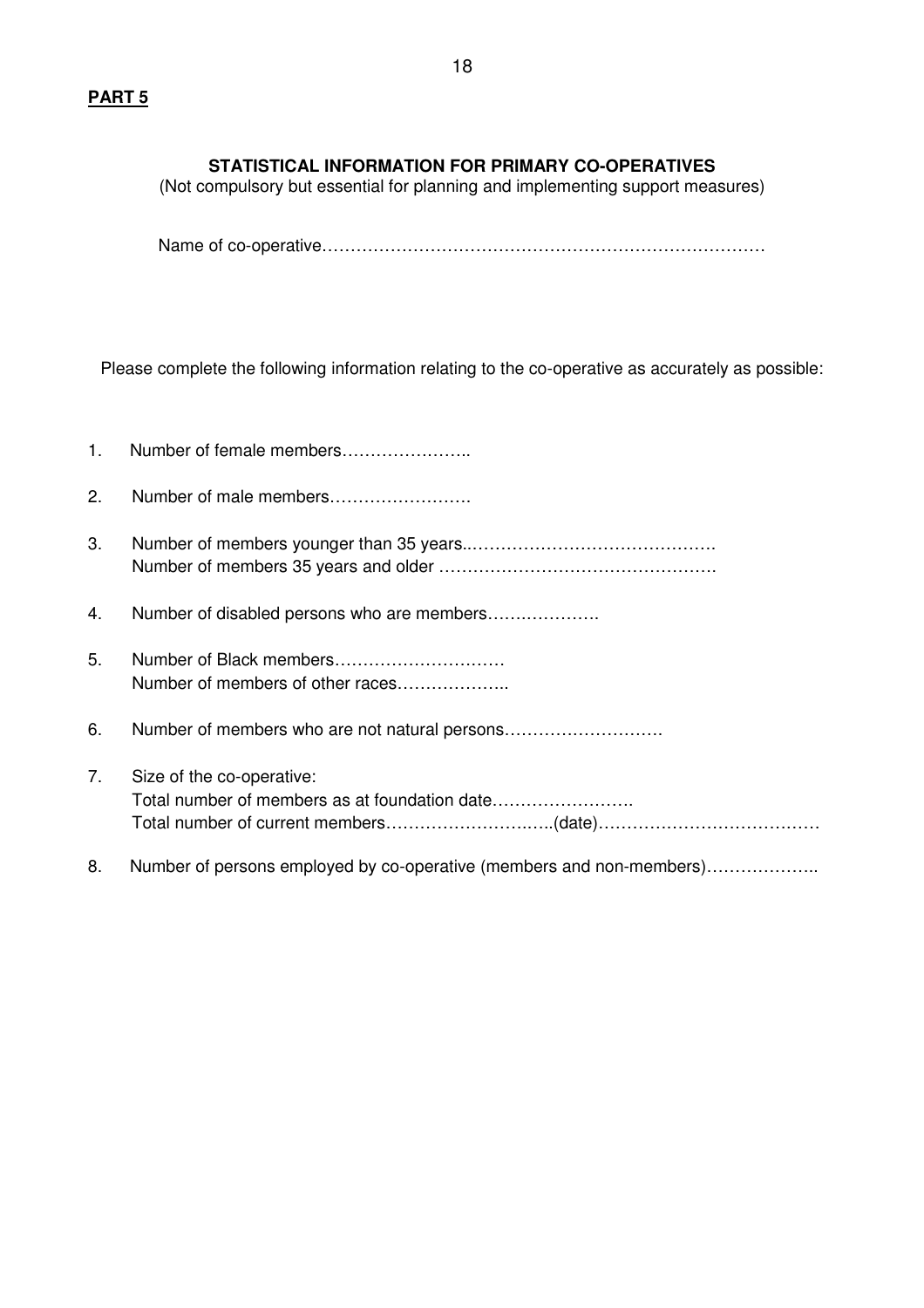# **STATISTICAL INFORMATION FOR PRIMARY CO-OPERATIVES**

(Not compulsory but essential for planning and implementing support measures)

Name of co-operative……………………………………………………………………

Please complete the following information relating to the co-operative as accurately as possible:

| $1_{\cdot}$ |                                                                      |
|-------------|----------------------------------------------------------------------|
| 2.          | Number of male members                                               |
| 3.          |                                                                      |
| 4.          | Number of disabled persons who are members                           |
| 5.          | Number of members of other races                                     |
| 6.          |                                                                      |
| 7.          | Size of the co-operative:                                            |
| 8.          | Number of persons employed by co-operative (members and non-members) |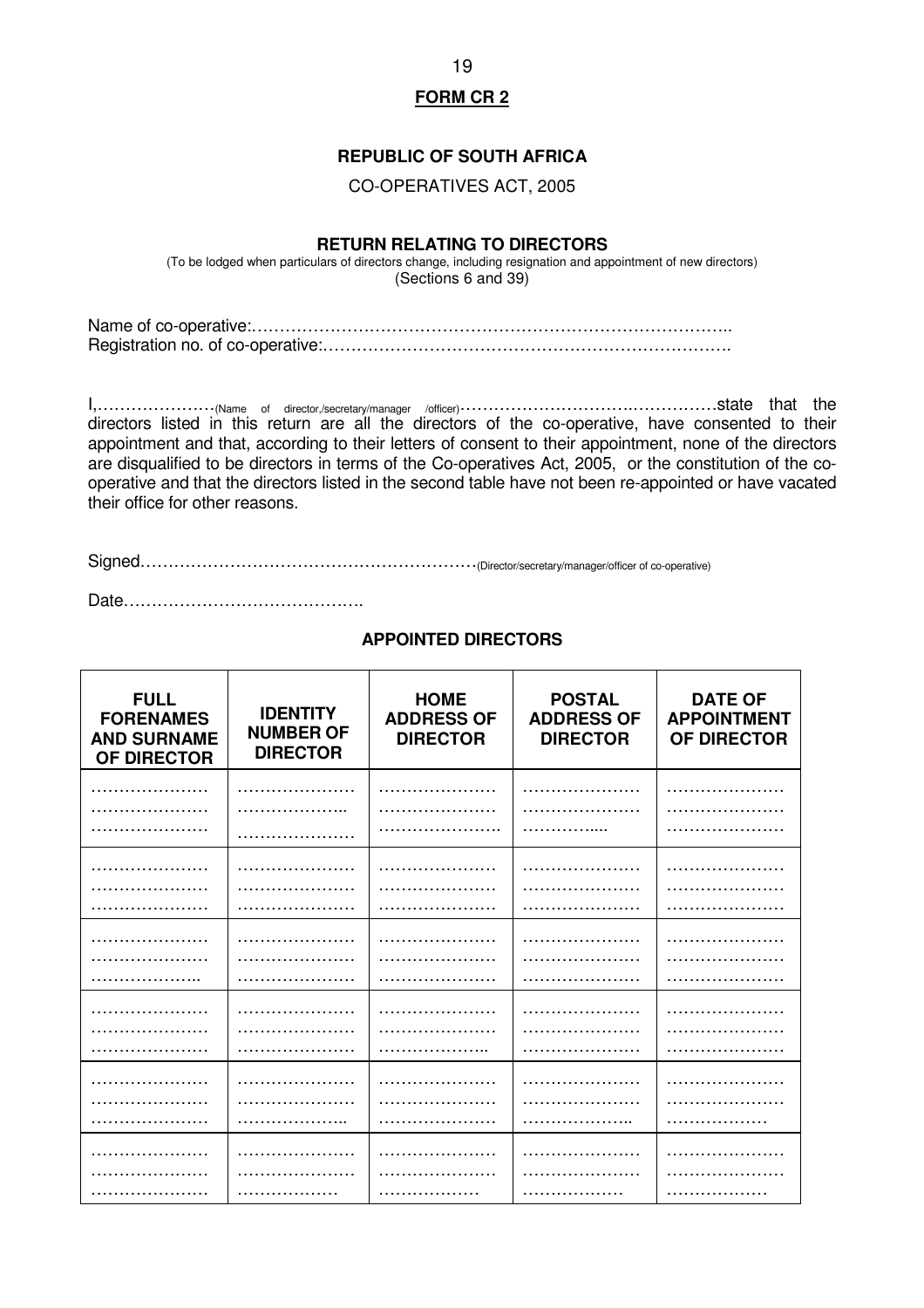#### **REPUBLIC OF SOUTH AFRICA**

#### CO-OPERATIVES ACT, 2005

#### **RETURN RELATING TO DIRECTORS**

(To be lodged when particulars of directors change, including resignation and appointment of new directors) (Sections 6 and 39)

Name of co-operative:………………………………………………………………………….. Registration no. of co-operative:……………………………………………………………….

I,…………………(Name of director,/secretary/manager /officer)………………………….……………state that the directors listed in this return are all the directors of the co-operative, have consented to their appointment and that, according to their letters of consent to their appointment, none of the directors are disqualified to be directors in terms of the Co-operatives Act, 2005, or the constitution of the cooperative and that the directors listed in the second table have not been re-appointed or have vacated their office for other reasons.

Signed……………………………………………………(Director/secretary/manager/officer of co-operative)

Date…………………………………….

#### **FULL FORENAMES AND SURNAME OF DIRECTOR IDENTITY NUMBER OF DIRECTOR HOME ADDRESS OF DIRECTOR POSTAL ADDRESS OF DIRECTOR DATE OF APPOINTMENT OF DIRECTOR**  ………………… ………………… ………………… ………………… …………………… ………………… ………………… ………………… ……………………… ………………… ……………………… ……………… ………………… ……………………… ……………………… ……………………… ………………… …………………………… …………… ……………………… ………………………… ……………………… …………………… …………………………… ……………………… ………………… ………………… ……………………… ………………… ………………………… ………………… ………………… ……………….. ……………………… ………………… ………………… ……………………… ………………… ………………… ……………………… ………………… ………………… …………………… ………………… ………………… …………………………… …………………………… ……………………… ………………………… ………………………… ………………… …………………………… …………………………… …………………… …………………… ………………………… ……………………… …………………… ……………………… ……………………… ………………… ………………… ………………… ………………… ………………… ………………… ………………… ………………… ………………… ………………… ………………… ………………… ………………… ………………… ……………… ………………… ………………… ……………………… ………………… ………………… …………………… ………………… ………………… …………………… ………………… ………………… …………………… ………………… ………………… ………………

# **APPOINTED DIRECTORS**

19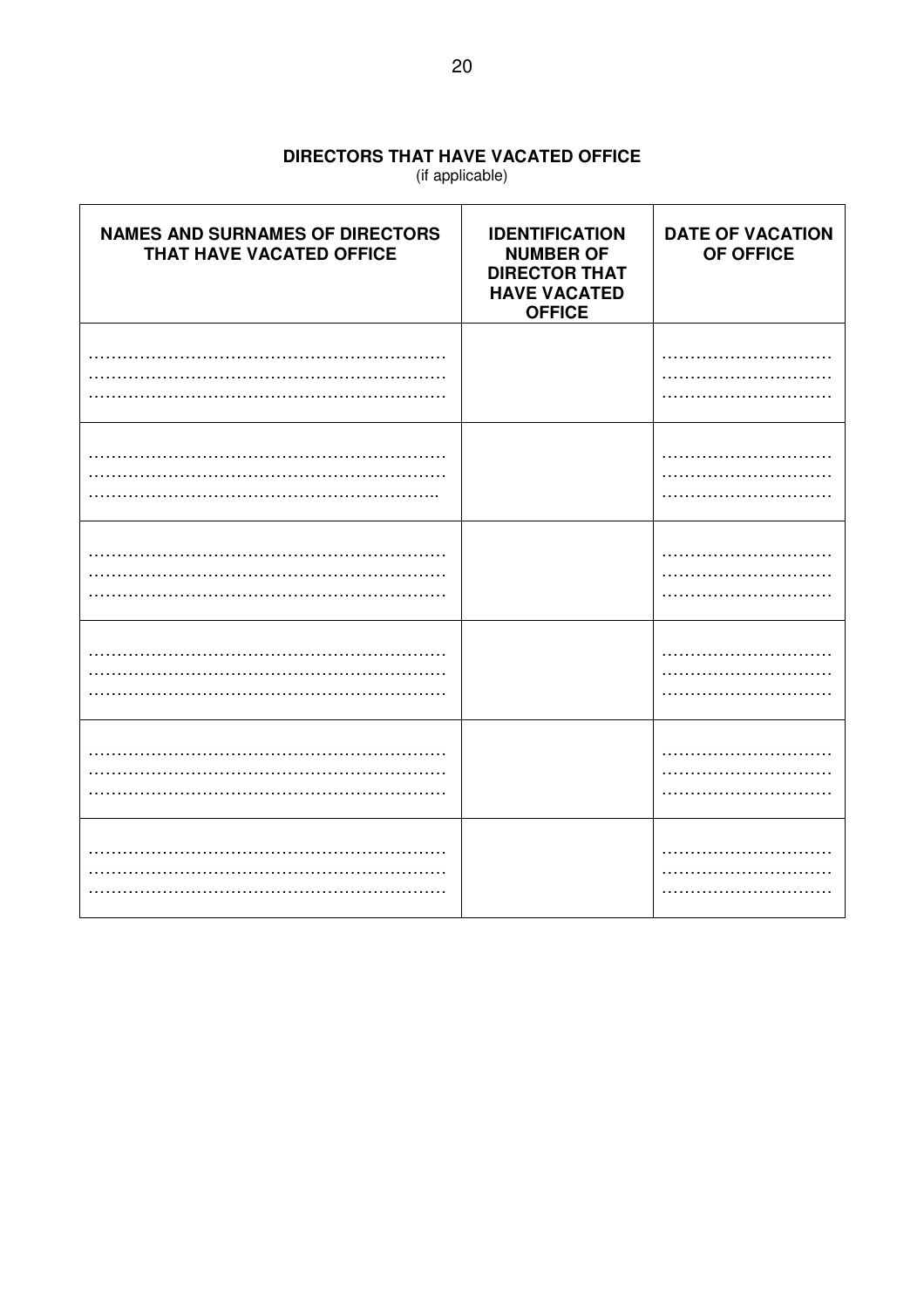# DIRECTORS THAT HAVE VACATED OFFICE

(if applicable)

| <b>NAMES AND SURNAMES OF DIRECTORS</b><br>THAT HAVE VACATED OFFICE | <b>IDENTIFICATION</b><br><b>NUMBER OF</b><br><b>DIRECTOR THAT</b><br><b>HAVE VACATED</b><br><b>OFFICE</b> | <b>DATE OF VACATION</b><br>OF OFFICE |
|--------------------------------------------------------------------|-----------------------------------------------------------------------------------------------------------|--------------------------------------|
|                                                                    |                                                                                                           |                                      |
|                                                                    |                                                                                                           |                                      |
|                                                                    |                                                                                                           |                                      |
|                                                                    |                                                                                                           |                                      |
|                                                                    |                                                                                                           |                                      |
|                                                                    |                                                                                                           |                                      |
|                                                                    |                                                                                                           |                                      |
|                                                                    |                                                                                                           |                                      |
|                                                                    |                                                                                                           |                                      |
|                                                                    |                                                                                                           |                                      |
|                                                                    |                                                                                                           |                                      |
|                                                                    |                                                                                                           |                                      |
|                                                                    |                                                                                                           |                                      |
|                                                                    |                                                                                                           |                                      |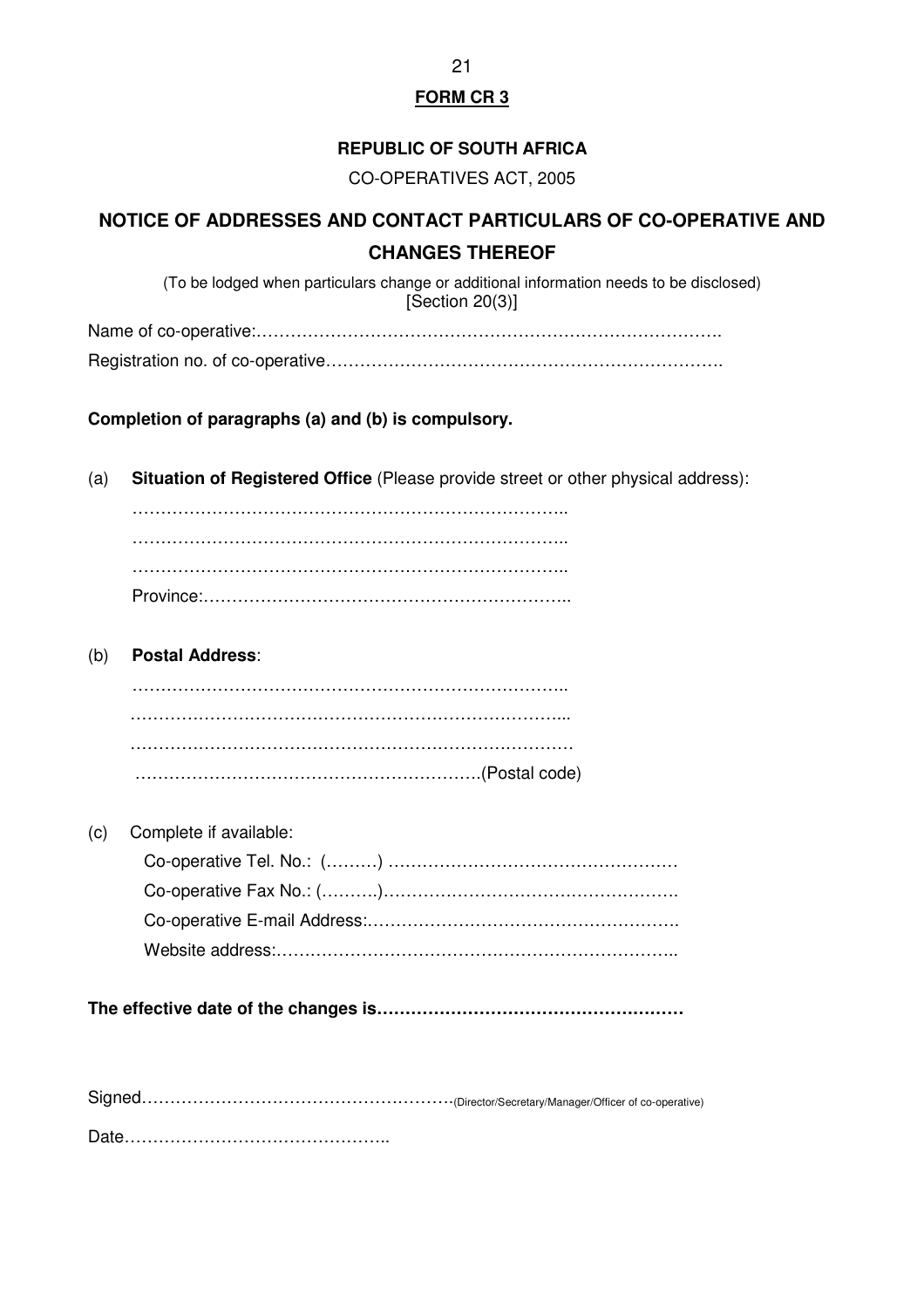### **REPUBLIC OF SOUTH AFRICA**

CO-OPERATIVES ACT, 2005

# **NOTICE OF ADDRESSES AND CONTACT PARTICULARS OF CO-OPERATIVE AND CHANGES THEREOF**

(To be lodged when particulars change or additional information needs to be disclosed) [Section 20(3)]

Name of co-operative:………………………………………………………………………. Registration no. of co-operative…………………………………………………………….

**Completion of paragraphs (a) and (b) is compulsory.**

(a) **Situation of Registered Office** (Please provide street or other physical address):

 ………………………………………………………………….. ………………………………………………………………….. ………………………………………………………………….. Province:………………………………………………………..

(b) **Postal Address**:

| (c) Complete if available: |
|----------------------------|
|                            |
|                            |
|                            |
|                            |

**The effective date of the changes is………………………………………………**

Signed……………………………………………….(Director/Secretary/Manager/Officer of co-operative)

Date………………………………………..

21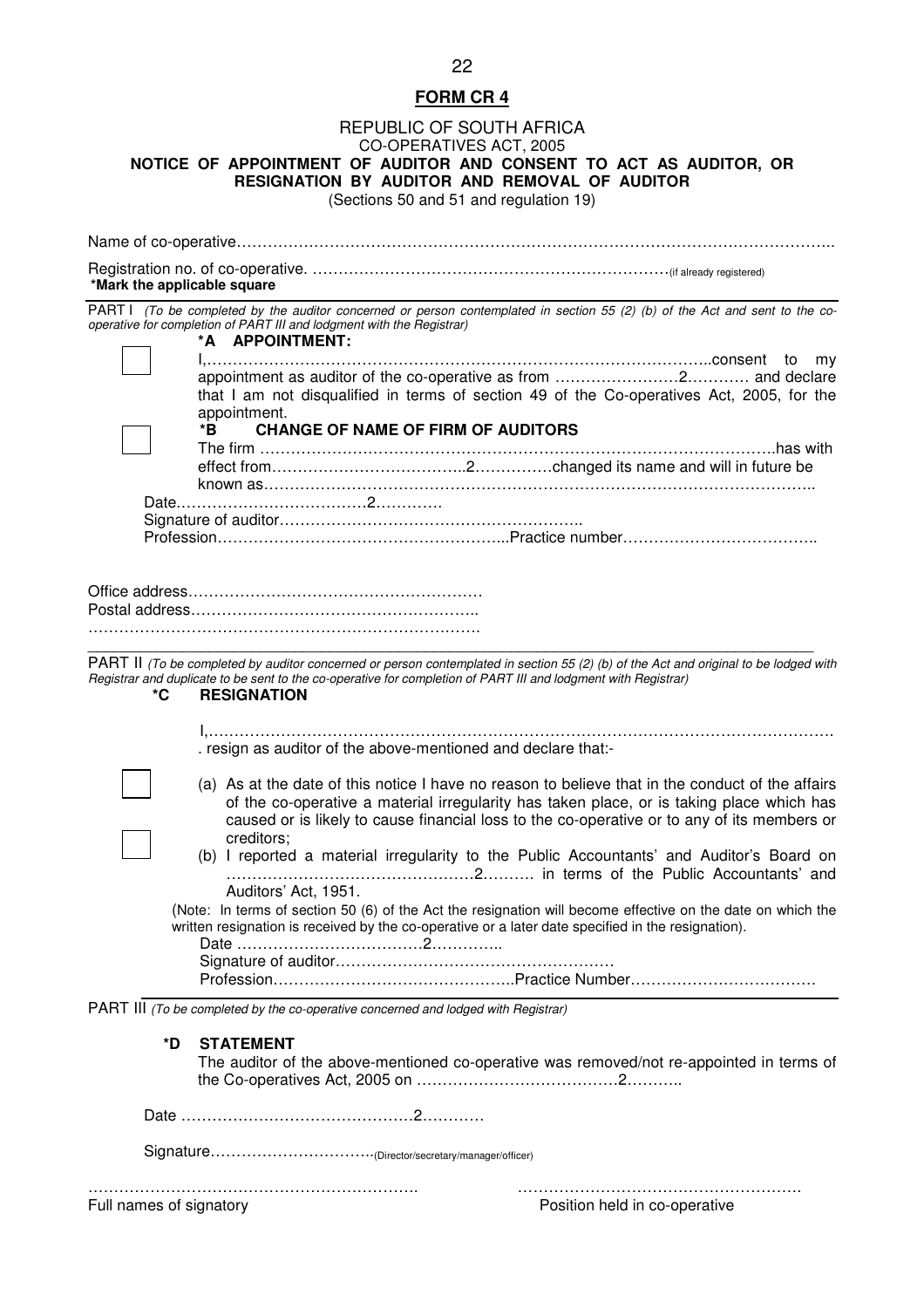#### REPUBLIC OF SOUTH AFRICA CO-OPERATIVES ACT, 2005 **NOTICE OF APPOINTMENT OF AUDITOR AND CONSENT TO ACT AS AUDITOR, OR RESIGNATION BY AUDITOR AND REMOVAL OF AUDITOR**  (Sections 50 and 51 and regulation 19)

Name of co-operative…………………………………………………………………………………………………….. Registration no. of co-operative. ……………………………………………………………(if already registered) **\*Mark the applicable square**  PART I (To be completed by the auditor concerned or person contemplated in section 55 (2) (b) of the Act and sent to the cooperative for completion of PART III and lodgment with the Registrar) **\*A APPOINTMENT:**  I,……………………………………………………………………………………..consent to my appointment as auditor of the co-operative as from ……………………2………… and declare that I am not disqualified in terms of section 49 of the Co-operatives Act, 2005, for the appointment.<br>\*B CHA **CHANGE OF NAME OF FIRM OF AUDITORS**  The firm ……………………………………………………………………………………….has with effect from………………………………..2……………changed its name and will in future be known as…………………………………………………………………………………………….. Date.………………………………2…………. Signature of auditor………………………………………………….. Profession………………………………………………...Practice number……………………………….. Office address………………………………………………… Postal address……………………………………………….. …………………………………………………………………. \_\_\_\_\_\_\_\_\_\_\_\_\_\_\_\_\_\_\_\_\_\_\_\_\_\_\_\_\_\_\_\_\_\_\_\_\_\_\_\_\_\_\_\_\_\_\_\_\_\_\_\_\_\_\_\_\_\_\_\_\_\_\_\_\_\_\_\_\_\_\_\_\_\_\_\_\_\_\_\_\_\_\_\_ PART II (To be completed by auditor concerned or person contemplated in section 55 (2) (b) of the Act and original to be lodged with Registrar and duplicate to be sent to the co-operative for completion of PART III and lodgment with Registrar)<br> **RESIGNATION RESIGNATION**  I,…………………………………………………………………………………………………………. . resign as auditor of the above-mentioned and declare that:- (a) As at the date of this notice I have no reason to believe that in the conduct of the affairs of the co-operative a material irregularity has taken place, or is taking place which has caused or is likely to cause financial loss to the co-operative or to any of its members or creditors; (b) I reported a material irregularity to the Public Accountants' and Auditor's Board on …………………………………………2………. in terms of the Public Accountants' and Auditors' Act, 1951. (Note: In terms of section 50 (6) of the Act the resignation will become effective on the date on which the written resignation is received by the co-operative or a later date specified in the resignation). Date ………………………………2………….. Signature of auditor……………………………………………… Profession………………………………………..Practice Number………………………………

PART III (To be completed by the co-operative concerned and lodged with Registrar)

#### **\*D STATEMENT**

 The auditor of the above-mentioned co-operative was removed/not re-appointed in terms of the Co-operatives Act, 2005 on …………………………………2………..

Signature…………………………..(Director/secretary/manager/officer)

………………………………………………………. ……………………………………………….

Position held in co-operative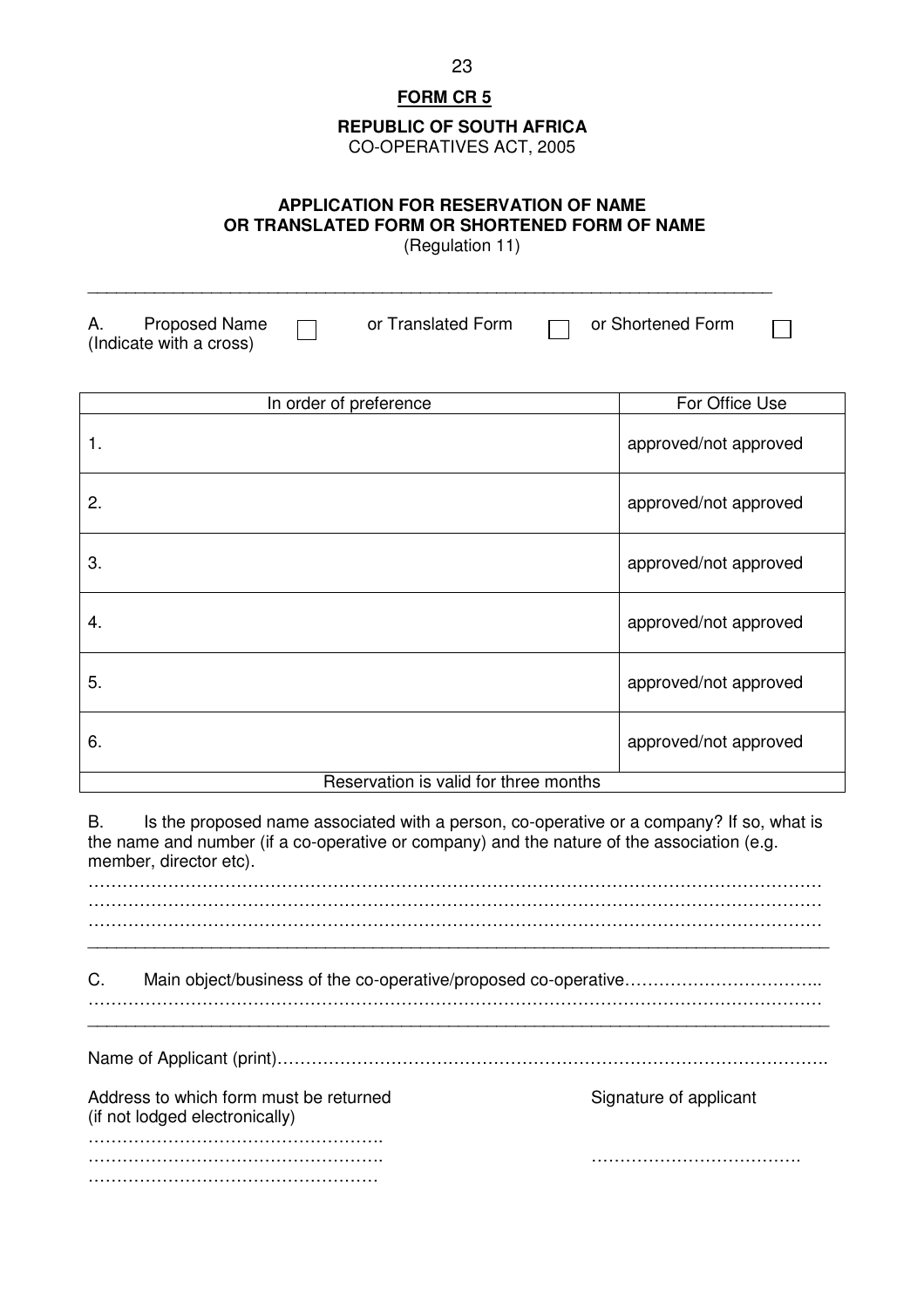#### **REPUBLIC OF SOUTH AFRICA**

CO-OPERATIVES ACT, 2005

### **APPLICATION FOR RESERVATION OF NAME OR TRANSLATED FORM OR SHORTENED FORM OF NAME**

(Regulation 11)

A. Proposed Name  $\Box$  or Translated Form  $\Box$  or Shortened Form  $\Box$ (Indicate with a cross)

\_\_\_\_\_\_\_\_\_\_\_\_\_\_\_\_\_\_\_\_\_\_\_\_\_\_\_\_\_\_\_\_\_\_\_\_\_\_\_\_\_\_\_\_\_\_\_\_\_\_\_\_\_\_\_\_\_\_\_\_\_\_\_\_\_\_\_\_\_\_\_\_

| In order of preference                | For Office Use        |  |  |  |
|---------------------------------------|-----------------------|--|--|--|
| 1.                                    | approved/not approved |  |  |  |
| 2.                                    | approved/not approved |  |  |  |
| 3.                                    | approved/not approved |  |  |  |
| 4.                                    | approved/not approved |  |  |  |
| 5.                                    | approved/not approved |  |  |  |
| 6.                                    | approved/not approved |  |  |  |
| Reservation is valid for three months |                       |  |  |  |

B. Is the proposed name associated with a person, co-operative or a company? If so, what is the name and number (if a co-operative or company) and the nature of the association (e.g. member, director etc). ………………………………………………………………………………………………………………… ………………………………………………………………………………………………………………… ………………………………………………………………………………………………………………… \_\_\_\_\_\_\_\_\_\_\_\_\_\_\_\_\_\_\_\_\_\_\_\_\_\_\_\_\_\_\_\_\_\_\_\_\_\_\_\_\_\_\_\_\_\_\_\_\_\_\_\_\_\_\_\_\_\_\_\_\_\_\_\_\_\_\_\_\_\_\_\_\_\_\_\_\_\_ C. Main object/business of the co-operative/proposed co-operative……………………………………… ………………………………………………………………………………………………………………… \_\_\_\_\_\_\_\_\_\_\_\_\_\_\_\_\_\_\_\_\_\_\_\_\_\_\_\_\_\_\_\_\_\_\_\_\_\_\_\_\_\_\_\_\_\_\_\_\_\_\_\_\_\_\_\_\_\_\_\_\_\_\_\_\_\_\_\_\_\_\_\_\_\_\_\_\_\_ Name of Applicant (print)……………………………………………………………………………………. Address to which form must be returned Signature of applicant (if not lodged electronically) ……………………………………………. ……………………………………………. ………………………………. ……………………………………………

23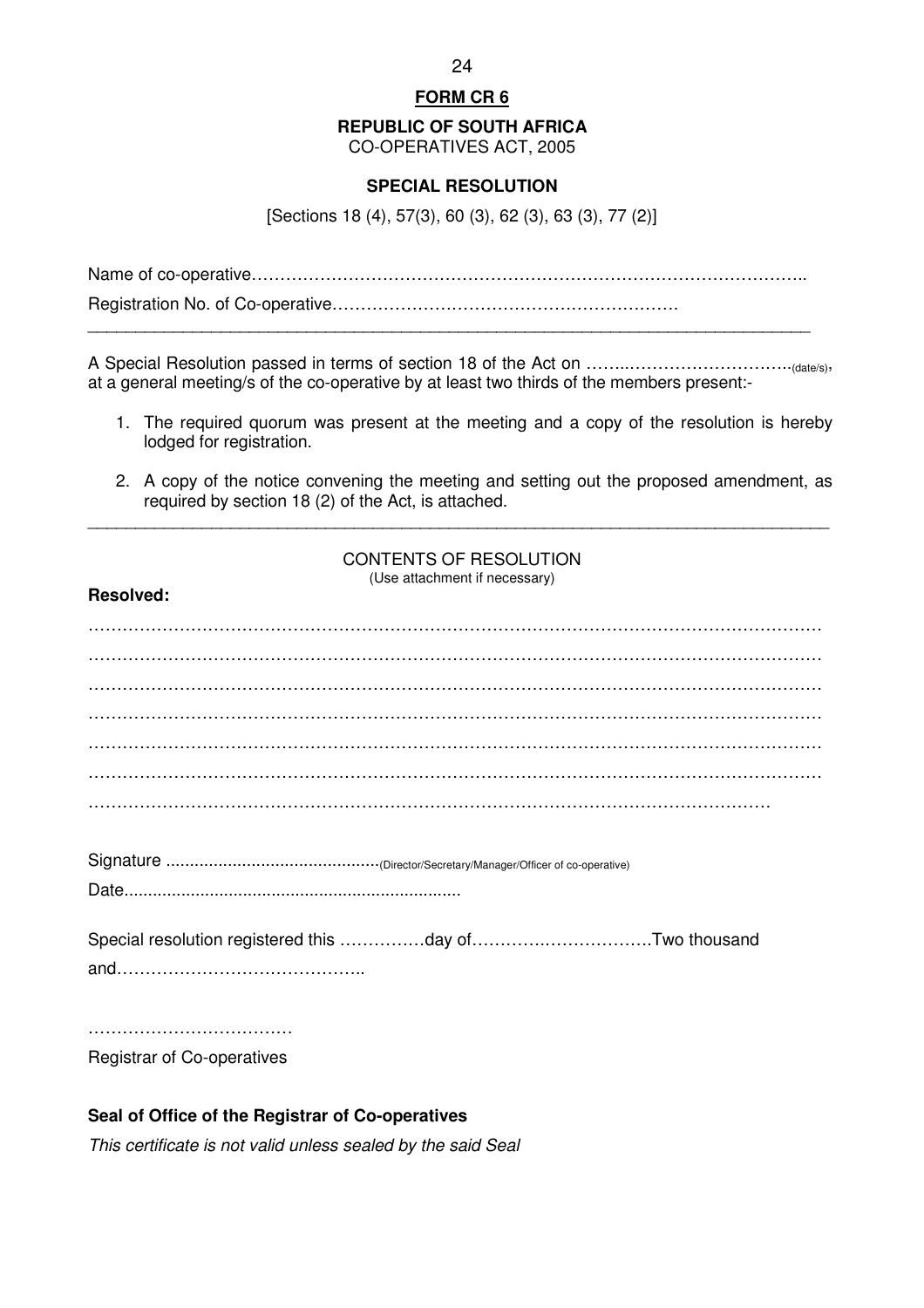**REPUBLIC OF SOUTH AFRICA** 

CO-OPERATIVES ACT, 2005

### **SPECIAL RESOLUTION**

[Sections 18 (4), 57(3), 60 (3), 62 (3), 63 (3), 77 (2)]

Name of co-operative……………………………………………………………………………………..

Registration No. of Co-operative……………………………………………………. \_\_\_\_\_\_\_\_\_\_\_\_\_\_\_\_\_\_\_\_\_\_\_\_\_\_\_\_\_\_\_\_\_\_\_\_\_\_\_\_\_\_\_\_\_\_\_\_\_\_\_\_\_\_\_\_\_\_\_\_\_\_\_\_\_\_\_\_\_\_\_\_\_\_\_\_

A Special Resolution passed in terms of section 18 of the Act on ……..………………………..(date/s), at a general meeting/s of the co-operative by at least two thirds of the members present:-

- 1. The required quorum was present at the meeting and a copy of the resolution is hereby lodged for registration.
- 2. A copy of the notice convening the meeting and setting out the proposed amendment, as required by section 18 (2) of the Act, is attached.

\_\_\_\_\_\_\_\_\_\_\_\_\_\_\_\_\_\_\_\_\_\_\_\_\_\_\_\_\_\_\_\_\_\_\_\_\_\_\_\_\_\_\_\_\_\_\_\_\_\_\_\_\_\_\_\_\_\_\_\_\_\_\_\_\_\_\_\_\_\_\_\_\_\_\_\_\_\_

CONTENTS OF RESOLUTION (Use attachment if necessary)

| Registrar of Co-operatives |
|----------------------------|

# **Seal of Office of the Registrar of Co-operatives**

**Resolved:**

This certificate is not valid unless sealed by the said Seal

24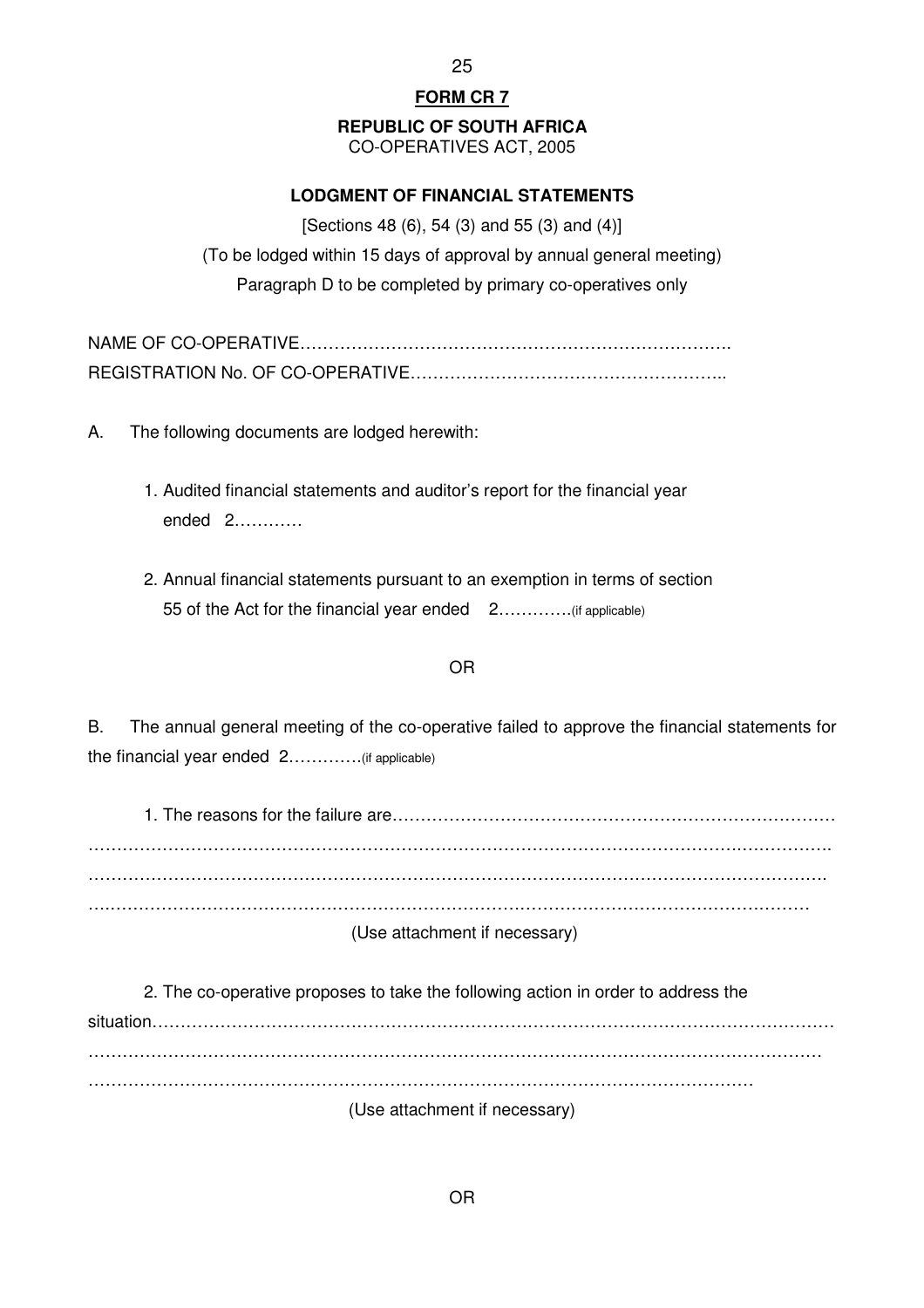25

# **FORM CR 7**

# **REPUBLIC OF SOUTH AFRICA**

CO-OPERATIVES ACT, 2005

# **LODGMENT OF FINANCIAL STATEMENTS**

[Sections 48 (6), 54 (3) and 55 (3) and (4)] (To be lodged within 15 days of approval by annual general meeting) Paragraph D to be completed by primary co-operatives only

A. The following documents are lodged herewith:

- 1. Audited financial statements and auditor's report for the financial year ended 2…………
- 2. Annual financial statements pursuant to an exemption in terms of section 55 of the Act for the financial year ended 2………….(if applicable)

#### OR

B. The annual general meeting of the co-operative failed to approve the financial statements for the financial year ended 2………….(if applicable)

 1. The reasons for the failure are……………………………………………………………………  $\mathcal{L}^{\text{max}}_{\text{max}}$ …………………………………………………………………………………………………………………. ….…………………………………………………………………………………………………………… (Use attachment if necessary)

 2. The co-operative proposes to take the following action in order to address the situation………………………………………………………………………………………………………… . The contract of the contract of the contract of the contract of the contract of the contract of the contract of the contract of the contract of the contract of the contract of the contract of the contract of the contrac ……………………………………………………………………………………………………… (Use attachment if necessary)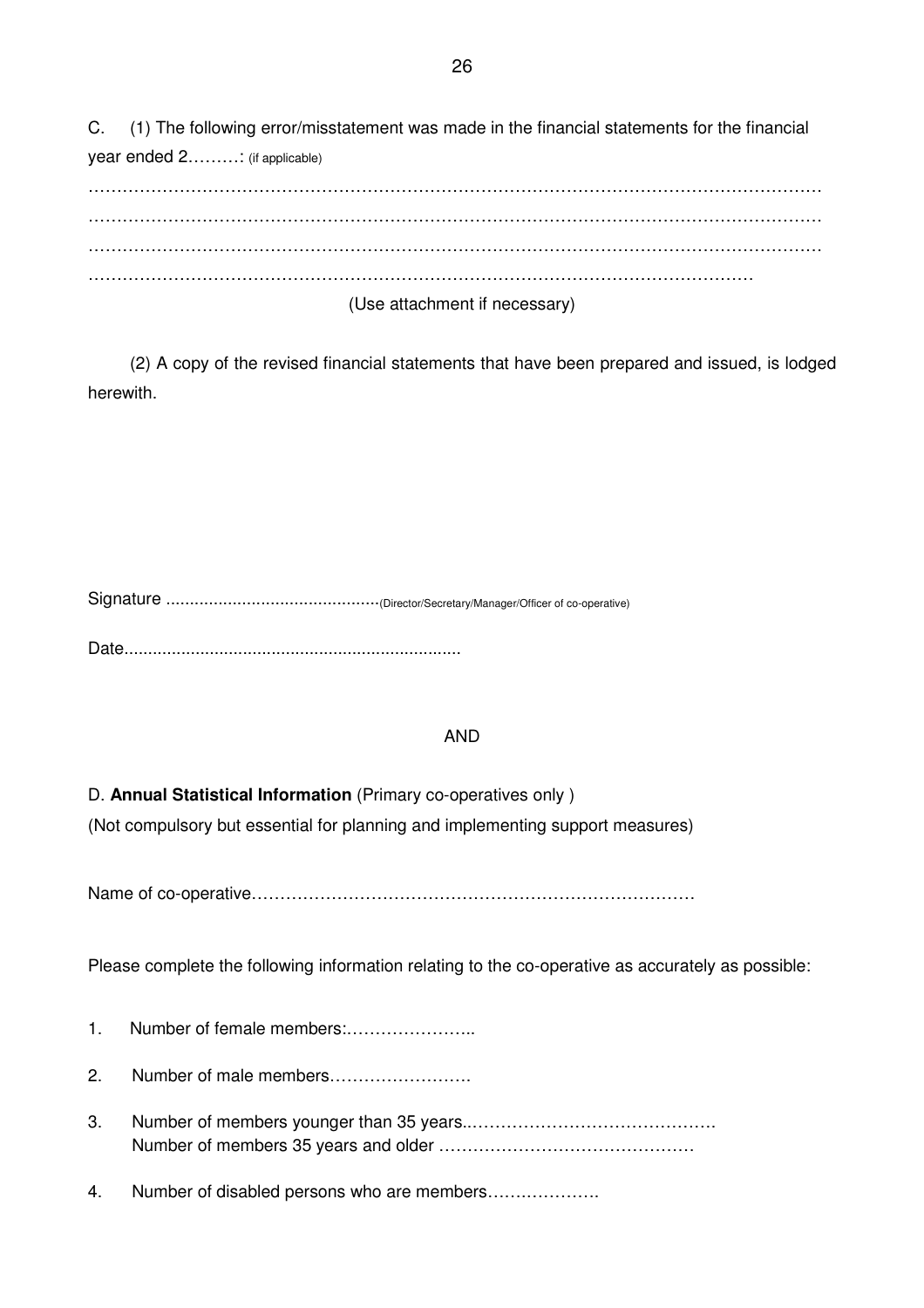C. (1) The following error/misstatement was made in the financial statements for the financial year ended 2………: (if applicable)

| (Use attachment if necessary) |
|-------------------------------|

 (2) A copy of the revised financial statements that have been prepared and issued, is lodged herewith.

Signature .............................................(Director/Secretary/Manager/Officer of co-operative) Date.......................................................................

# AND

D. **Annual Statistical Information** (Primary co-operatives only )

(Not compulsory but essential for planning and implementing support measures)

Name of co-operative……………………………………………………………………

Please complete the following information relating to the co-operative as accurately as possible:

- 1. Number of female members:…………………..
- 2. Number of male members…………………….
- 3. Number of members younger than 35 years..……………………………………. Number of members 35 years and older ………………………………………
- 4. Number of disabled persons who are members…….………….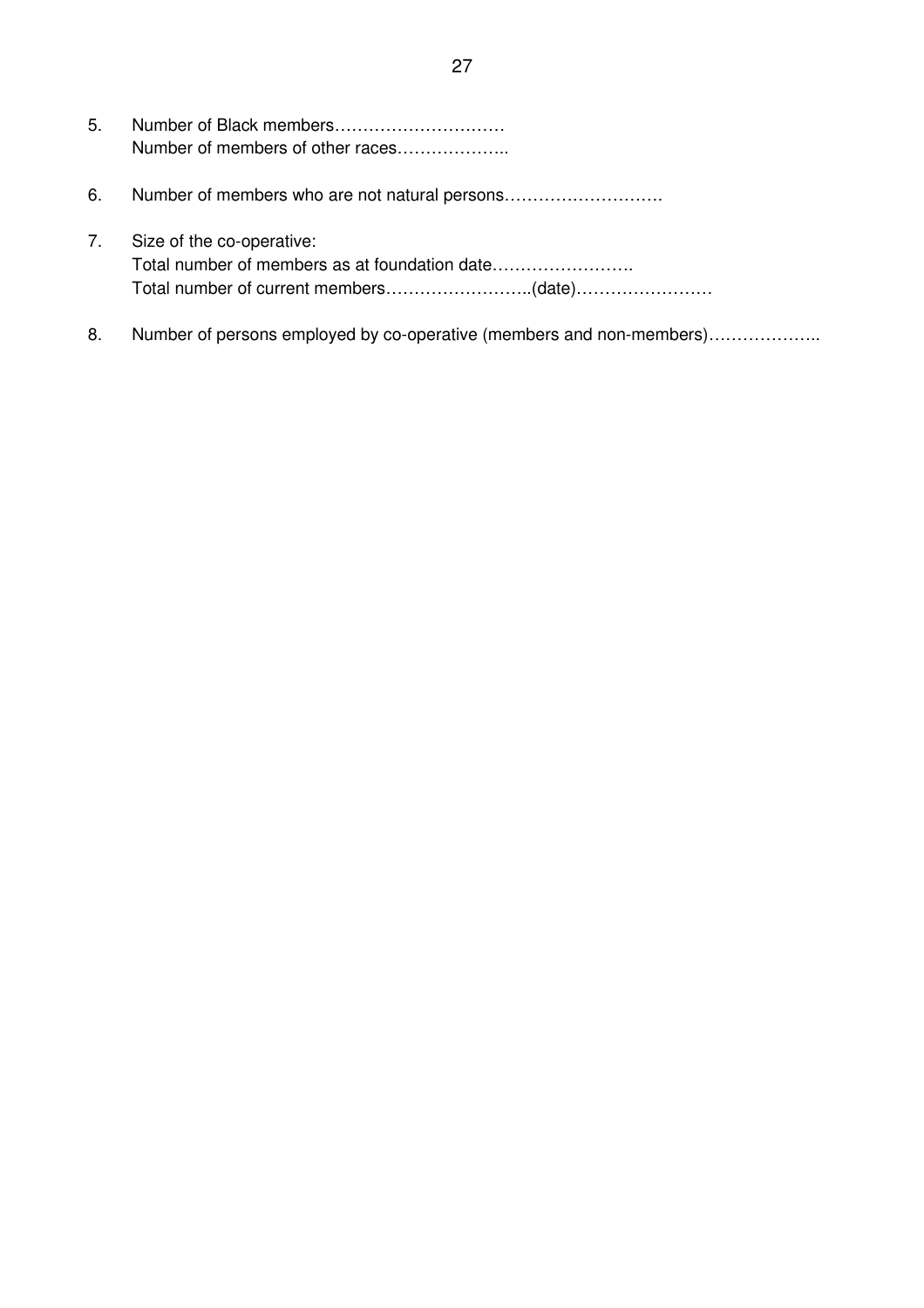| 5. | Number of members of other races |
|----|----------------------------------|
| 6. |                                  |
| 7. | Size of the co-operative:        |

8. Number of persons employed by co-operative (members and non-members)....................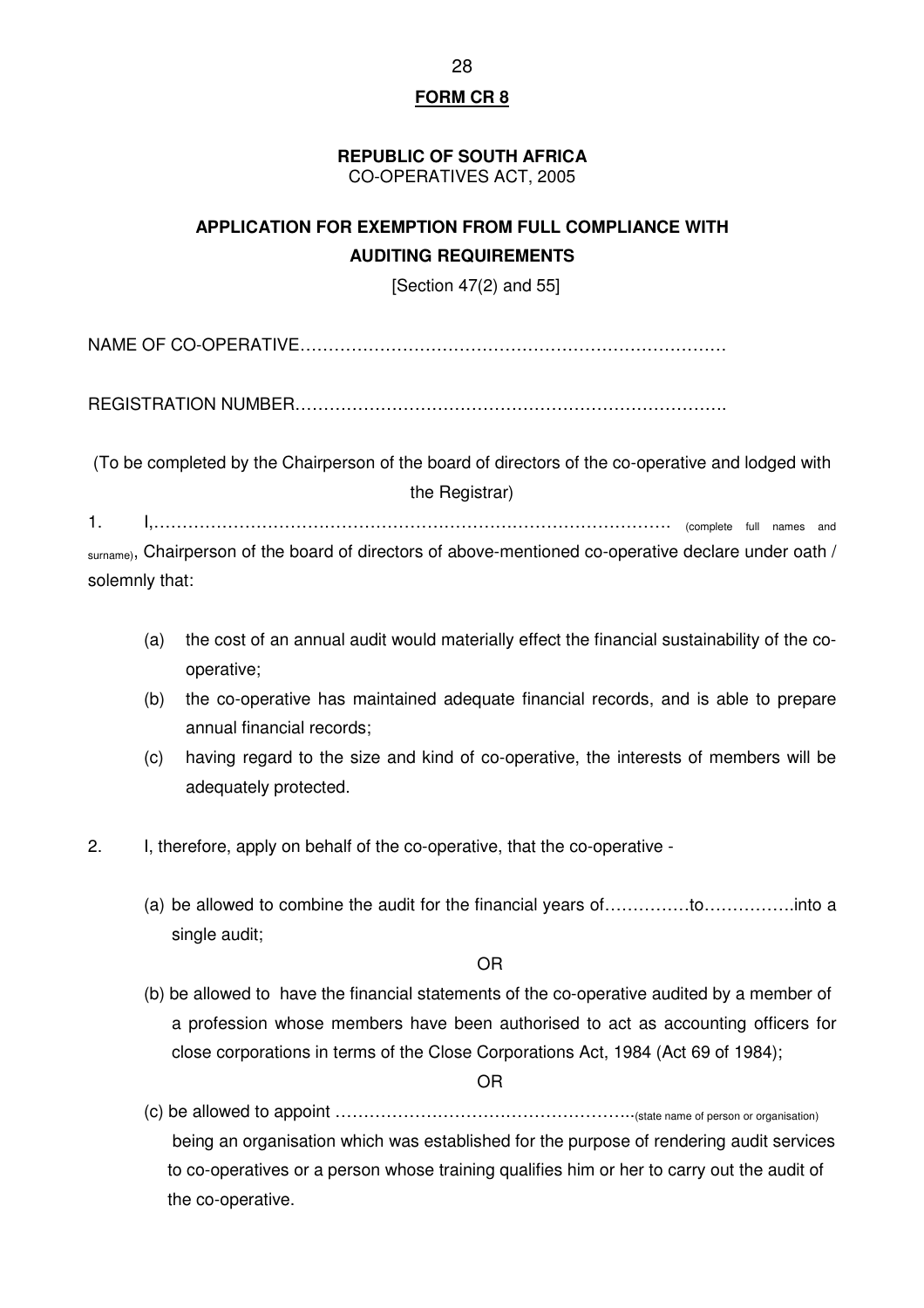#### **REPUBLIC OF SOUTH AFRICA**  CO-OPERATIVES ACT, 2005

# **APPLICATION FOR EXEMPTION FROM FULL COMPLIANCE WITH AUDITING REQUIREMENTS**

[Section 47(2) and 55]

NAME OF CO-OPERATIVE…………………………………………………………………

REGISTRATION NUMBER………………………………………………………………….

(To be completed by the Chairperson of the board of directors of the co-operative and lodged with the Registrar)

1. I,………………………………………………………………………………. (complete full names and

surname), Chairperson of the board of directors of above-mentioned co-operative declare under oath / solemnly that:

- (a) the cost of an annual audit would materially effect the financial sustainability of the cooperative;
- (b) the co-operative has maintained adequate financial records, and is able to prepare annual financial records;
- (c) having regard to the size and kind of co-operative, the interests of members will be adequately protected.
- 2. I, therefore, apply on behalf of the co-operative, that the co-operative
	- (a) be allowed to combine the audit for the financial years of……………to…………….into a single audit;

OR

(b) be allowed to have the financial statements of the co-operative audited by a member of a profession whose members have been authorised to act as accounting officers for close corporations in terms of the Close Corporations Act, 1984 (Act 69 of 1984);

OR

(c) be allowed to appoint ……………………………………………..(state name of person or organisation) being an organisation which was established for the purpose of rendering audit services to co-operatives or a person whose training qualifies him or her to carry out the audit of the co-operative.

28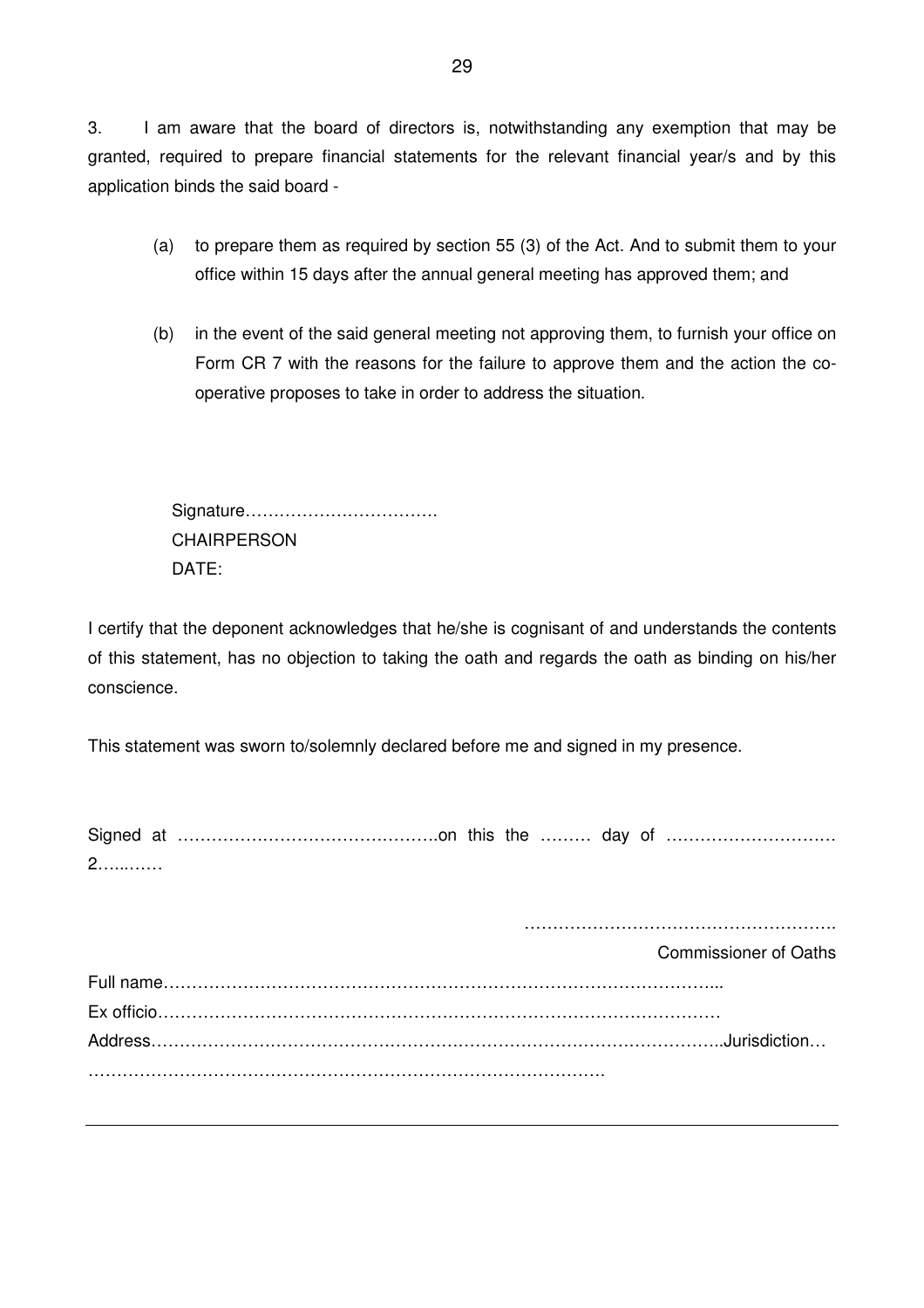3. I am aware that the board of directors is, notwithstanding any exemption that may be granted, required to prepare financial statements for the relevant financial year/s and by this application binds the said board -

- (a) to prepare them as required by section 55 (3) of the Act. And to submit them to your office within 15 days after the annual general meeting has approved them; and
- (b) in the event of the said general meeting not approving them, to furnish your office on Form CR 7 with the reasons for the failure to approve them and the action the cooperative proposes to take in order to address the situation.

Signature……………………………. **CHAIRPERSON** DATE:

I certify that the deponent acknowledges that he/she is cognisant of and understands the contents of this statement, has no objection to taking the oath and regards the oath as binding on his/her conscience.

This statement was sworn to/solemnly declared before me and signed in my presence.

| <u> ∠.</u> |  |  |  |  |
|------------|--|--|--|--|

……………………………………………….

Commissioner of Oaths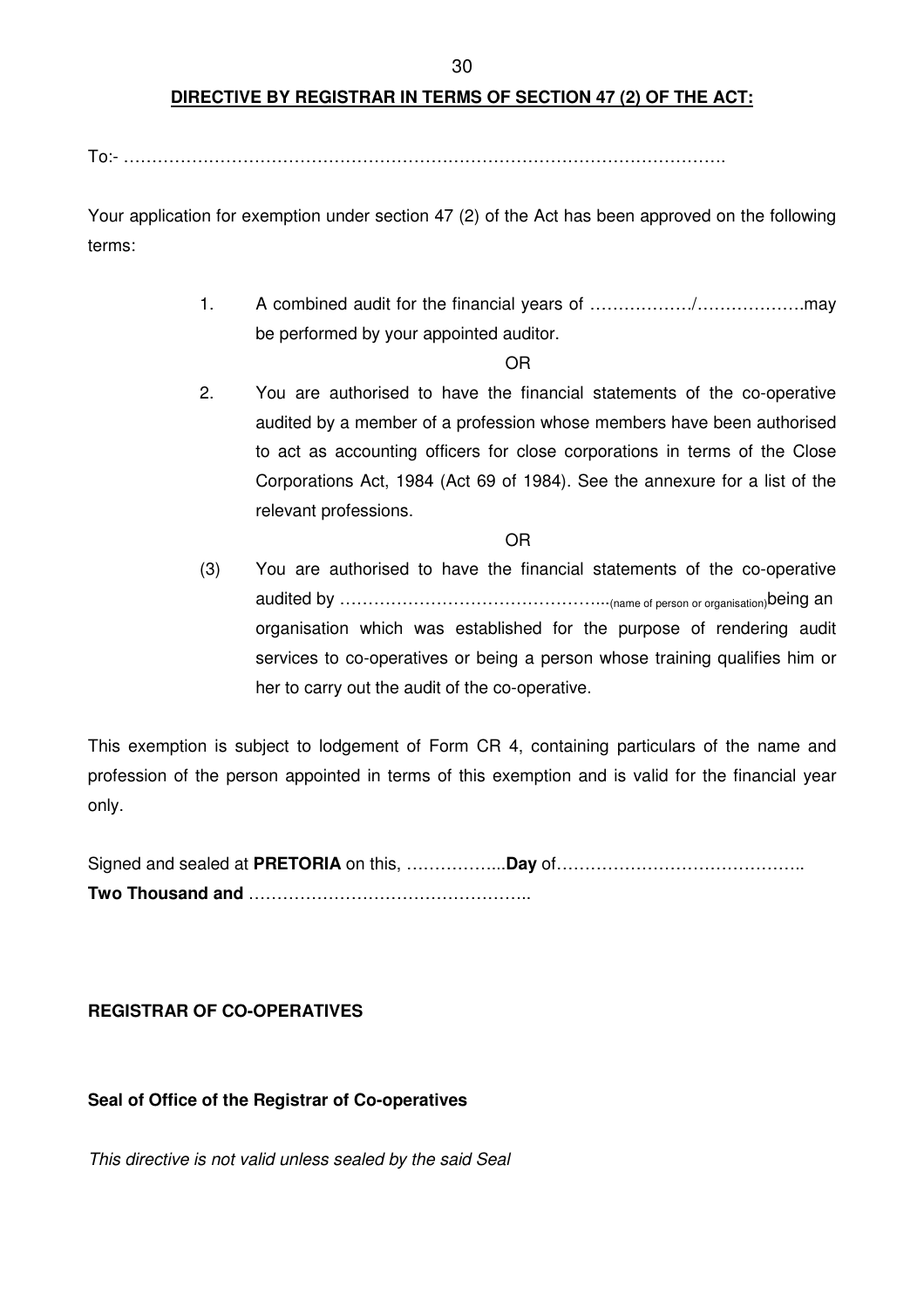# **DIRECTIVE BY REGISTRAR IN TERMS OF SECTION 47 (2) OF THE ACT:**

To:- …………………………………………………………………………………………….

Your application for exemption under section 47 (2) of the Act has been approved on the following terms:

> 1. A combined audit for the financial years of ………………/……………….may be performed by your appointed auditor.

> > OR

2. You are authorised to have the financial statements of the co-operative audited by a member of a profession whose members have been authorised to act as accounting officers for close corporations in terms of the Close Corporations Act, 1984 (Act 69 of 1984). See the annexure for a list of the relevant professions.

OR

 (3) You are authorised to have the financial statements of the co-operative audited by ………………………………………...(name of person or organisation)being an organisation which was established for the purpose of rendering audit services to co-operatives or being a person whose training qualifies him or her to carry out the audit of the co-operative.

This exemption is subject to lodgement of Form CR 4, containing particulars of the name and profession of the person appointed in terms of this exemption and is valid for the financial year only.

Signed and sealed at **PRETORIA** on this, ……………...**Day** of…………………………………….. **Two Thousand and** …………………………………………..

# **REGISTRAR OF CO-OPERATIVES**

**Seal of Office of the Registrar of Co-operatives** 

This directive is not valid unless sealed by the said Seal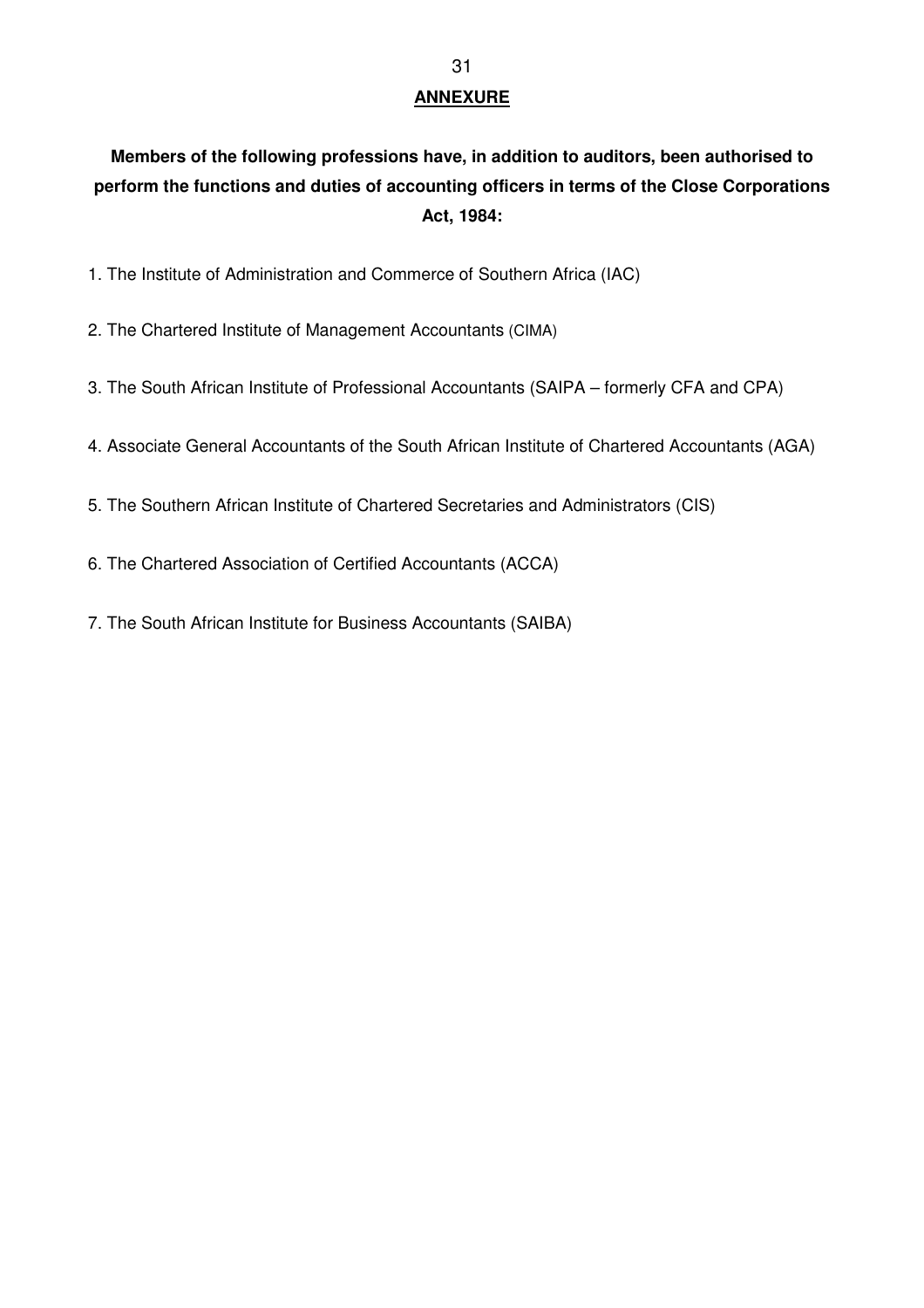# **ANNEXURE**

# **Members of the following professions have, in addition to auditors, been authorised to perform the functions and duties of accounting officers in terms of the Close Corporations Act, 1984:**

- 1. The Institute of Administration and Commerce of Southern Africa (IAC)
- 2. The Chartered Institute of Management Accountants (CIMA)
- 3. The South African Institute of Professional Accountants (SAIPA formerly CFA and CPA)
- 4. Associate General Accountants of the South African Institute of Chartered Accountants (AGA)
- 5. The Southern African Institute of Chartered Secretaries and Administrators (CIS)
- 6. The Chartered Association of Certified Accountants (ACCA)
- 7. The South African Institute for Business Accountants (SAIBA)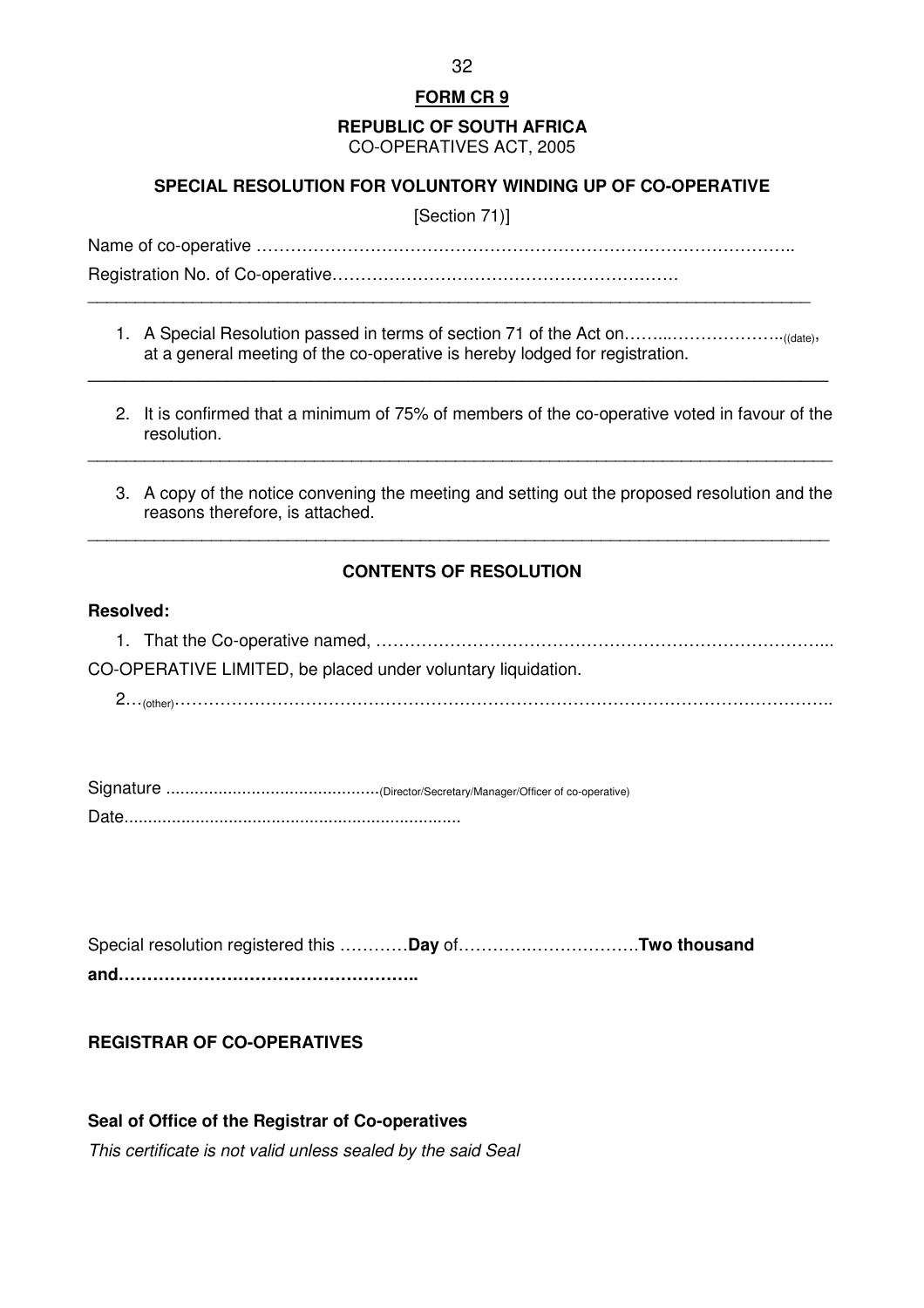#### **REPUBLIC OF SOUTH AFRICA**  CO-OPERATIVES ACT, 2005

# **SPECIAL RESOLUTION FOR VOLUNTORY WINDING UP OF CO-OPERATIVE**

[Section 71)]

Name of co-operative …………………………………………………………………………………..

Registration No. of Co-operative……………………………………………………. \_\_\_\_\_\_\_\_\_\_\_\_\_\_\_\_\_\_\_\_\_\_\_\_\_\_\_\_\_\_\_\_\_\_\_\_\_\_\_\_\_\_\_\_\_\_\_\_\_\_\_\_\_\_\_\_\_\_\_\_\_\_\_\_\_\_\_\_\_\_\_\_\_\_\_\_

1. A Special Resolution passed in terms of section 71 of the Act on……...………………..((date), at a general meeting of the co-operative is hereby lodged for registration.

\_\_\_\_\_\_\_\_\_\_\_\_\_\_\_\_\_\_\_\_\_\_\_\_\_\_\_\_\_\_\_\_\_\_\_\_\_\_\_\_\_\_\_\_\_\_\_\_\_\_\_\_\_\_\_\_\_\_\_\_\_\_\_\_\_\_\_\_\_\_\_\_\_\_\_\_\_\_\_\_

\_\_\_\_\_\_\_\_\_\_\_\_\_\_\_\_\_\_\_\_\_\_\_\_\_\_\_\_\_\_\_\_\_\_\_\_\_\_\_\_\_\_\_\_\_\_\_\_\_\_\_\_\_\_\_\_\_\_\_\_\_\_\_\_\_\_\_\_\_\_\_\_\_\_\_\_\_\_\_

- 2. It is confirmed that a minimum of 75% of members of the co-operative voted in favour of the resolution.
- 3. A copy of the notice convening the meeting and setting out the proposed resolution and the reasons therefore, is attached.

# **CONTENTS OF RESOLUTION**

\_\_\_\_\_\_\_\_\_\_\_\_\_\_\_\_\_\_\_\_\_\_\_\_\_\_\_\_\_\_\_\_\_\_\_\_\_\_\_\_\_\_\_\_\_\_\_\_\_\_\_\_\_\_\_\_\_\_\_\_\_\_\_\_\_\_\_\_\_\_\_\_\_\_\_\_\_\_

#### **Resolved:**

1. That the Co-operative named, ……………………………………………………………………... CO-OPERATIVE LIMITED, be placed under voluntary liquidation.

2…(other)……………………………………………………………………………………………………..

Signature .............................................(Director/Secretary/Manager/Officer of co-operative) Date.......................................................................

Special resolution registered this …………**Day** of………….……………….**Two thousand and……………………………………………..**

# **REGISTRAR OF CO-OPERATIVES**

**Seal of Office of the Registrar of Co-operatives**  This certificate is not valid unless sealed by the said Seal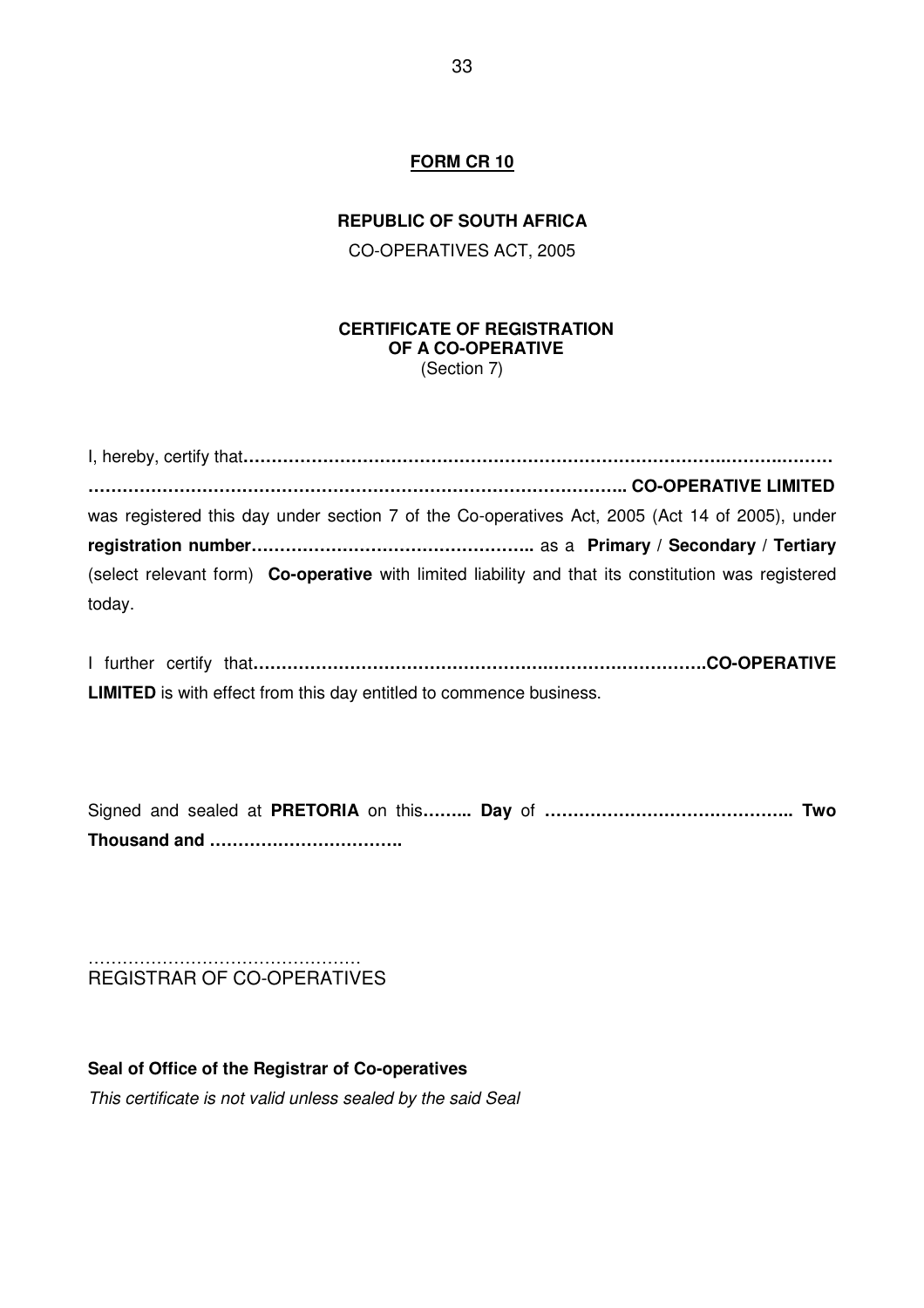### **REPUBLIC OF SOUTH AFRICA**

CO-OPERATIVES ACT, 2005

#### **CERTIFICATE OF REGISTRATION OF A CO-OPERATIVE**  (Section 7)

I, hereby, certify that**………………………………………………………………………….……….……… ………………………………………………………………………………….. CO-OPERATIVE LIMITED**  was registered this day under section 7 of the Co-operatives Act, 2005 (Act 14 of 2005), under **registration number…………………………………………..** as a **Primary / Secondary / Tertiary**  (select relevant form) **Co-operative** with limited liability and that its constitution was registered today.

I further certify that**…………………………………………….……………………….CO-OPERATIVE LIMITED** is with effect from this day entitled to commence business.

Signed and sealed at **PRETORIA** on this**……... Day** of **…………………………………….. Two Thousand and …………………………….** 

#### ………………………………………… REGISTRAR OF CO-OPERATIVES

**Seal of Office of the Registrar of Co-operatives**  This certificate is not valid unless sealed by the said Seal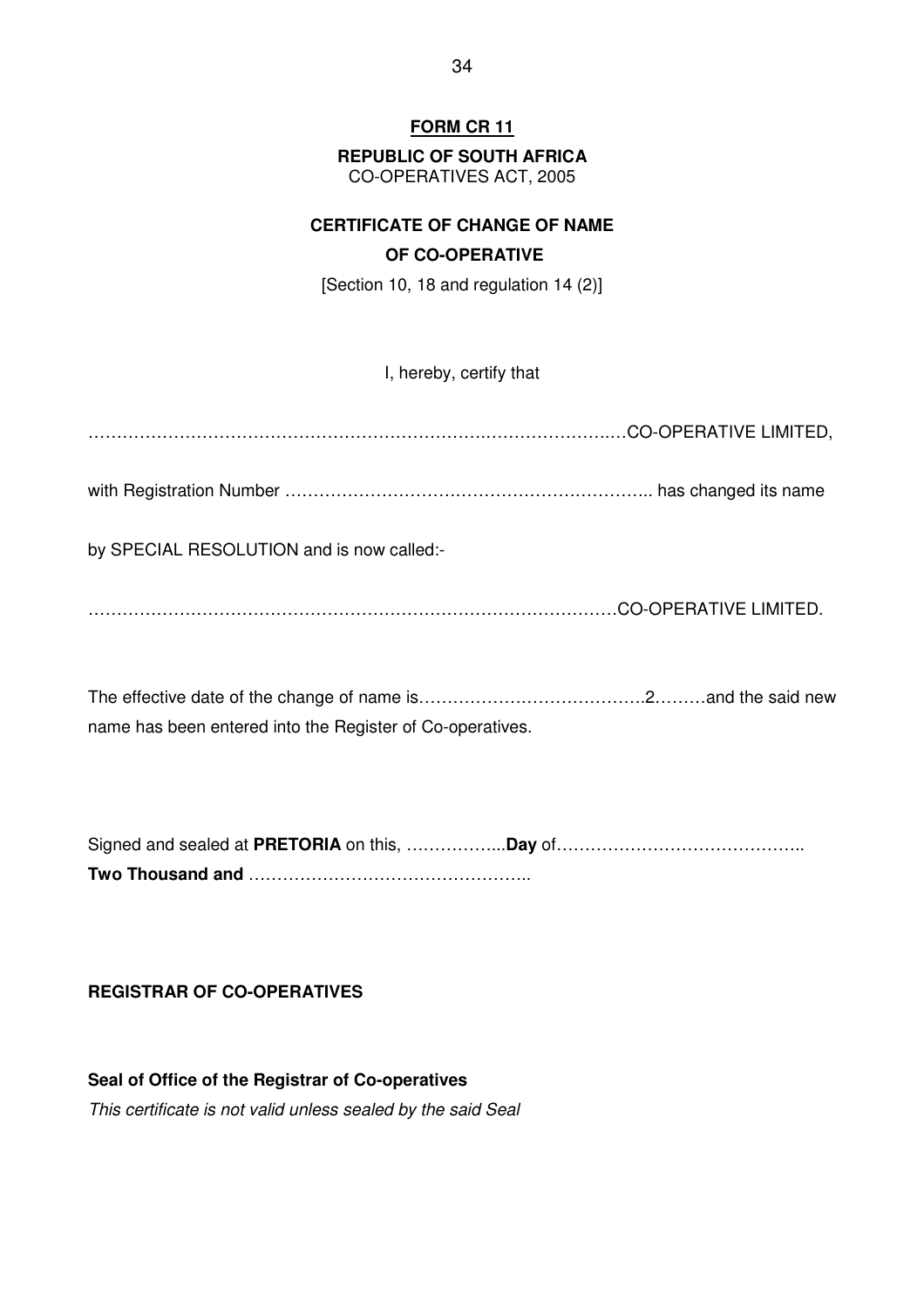# **REPUBLIC OF SOUTH AFRICA**

CO-OPERATIVES ACT, 2005

# **CERTIFICATE OF CHANGE OF NAME OF CO-OPERATIVE**

[Section 10, 18 and regulation 14 (2)]

I, hereby, certify that

…………………………………………………………….………………….…CO-OPERATIVE LIMITED,

with Registration Number ……………………………………………………….. has changed its name

by SPECIAL RESOLUTION and is now called:-

…………………………………………………………………………………CO-OPERATIVE LIMITED.

The effective date of the change of name is………………………………….2………and the said new name has been entered into the Register of Co-operatives.

Signed and sealed at **PRETORIA** on this, ……………...**Day** of…………………………………….. **Two Thousand and** …………………………………………..

# **REGISTRAR OF CO-OPERATIVES**

**Seal of Office of the Registrar of Co-operatives**  This certificate is not valid unless sealed by the said Seal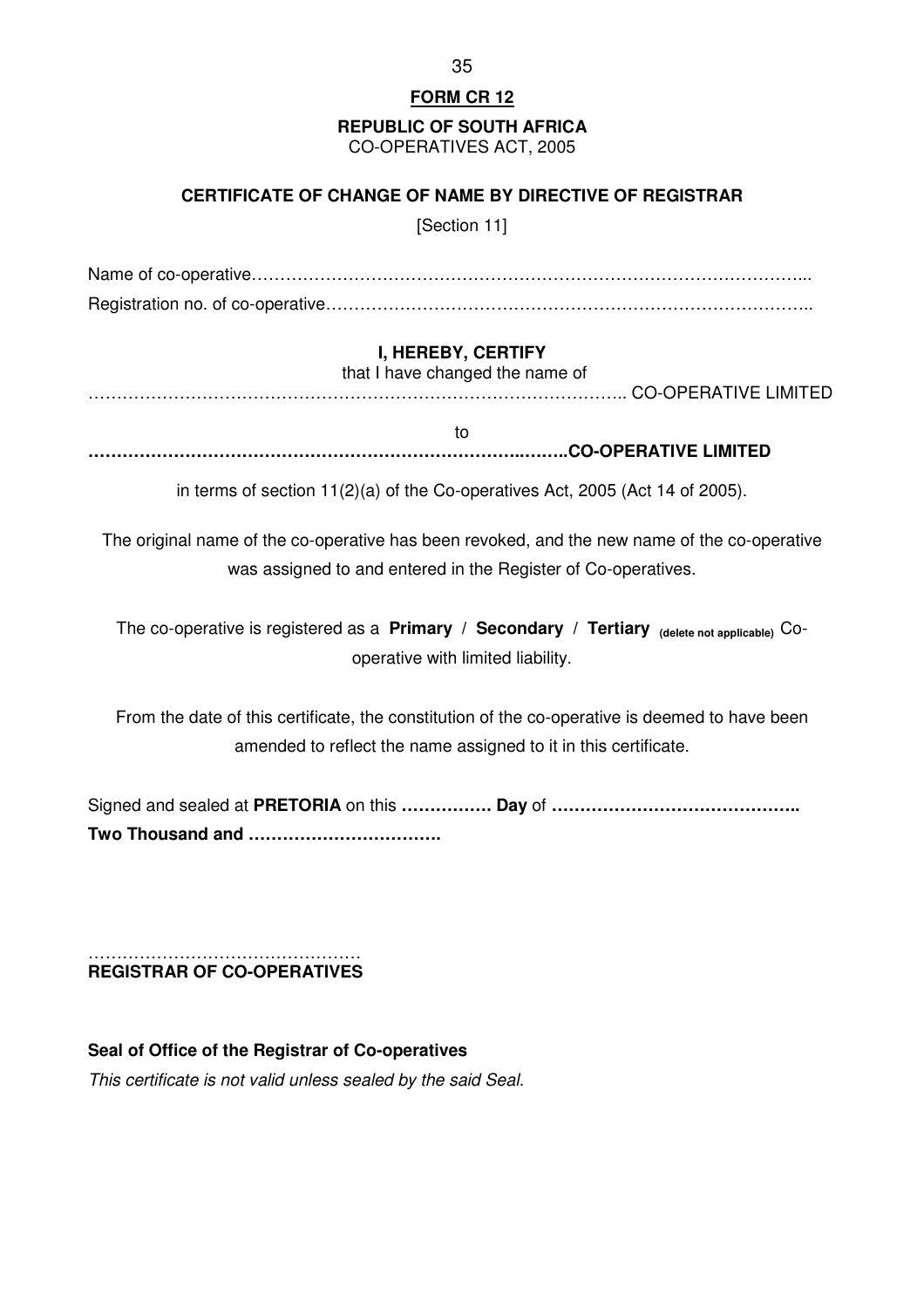**REPUBLIC OF SOUTH AFRICA** 

CO-OPERATIVES ACT, 2005

# **CERTIFICATE OF CHANGE OF NAME BY DIRECTIVE OF REGISTRAR**

[Section 11]

Name of co-operative……………………………………………………………………………………... Registration no. of co-operative…………………………………………………………………………..

# **I, HEREBY, CERTIFY**

that I have changed the name of

………………………………………………………………………………….. CO-OPERATIVE LIMITED

to **…………………………………………………………………..……..CO-OPERATIVE LIMITED**

in terms of section 11(2)(a) of the Co-operatives Act, 2005 (Act 14 of 2005).

The original name of the co-operative has been revoked, and the new name of the co-operative was assigned to and entered in the Register of Co-operatives.

The co-operative is registered as a **Primary / Secondary / Tertiary (delete not applicable)** Cooperative with limited liability.

From the date of this certificate, the constitution of the co-operative is deemed to have been amended to reflect the name assigned to it in this certificate.

Signed and sealed at **PRETORIA** on this **……………. Day** of **…………………………………….. Two Thousand and …………………………….** 

#### ………………………………………… **REGISTRAR OF CO-OPERATIVES**

**Seal of Office of the Registrar of Co-operatives**  This certificate is not valid unless sealed by the said Seal.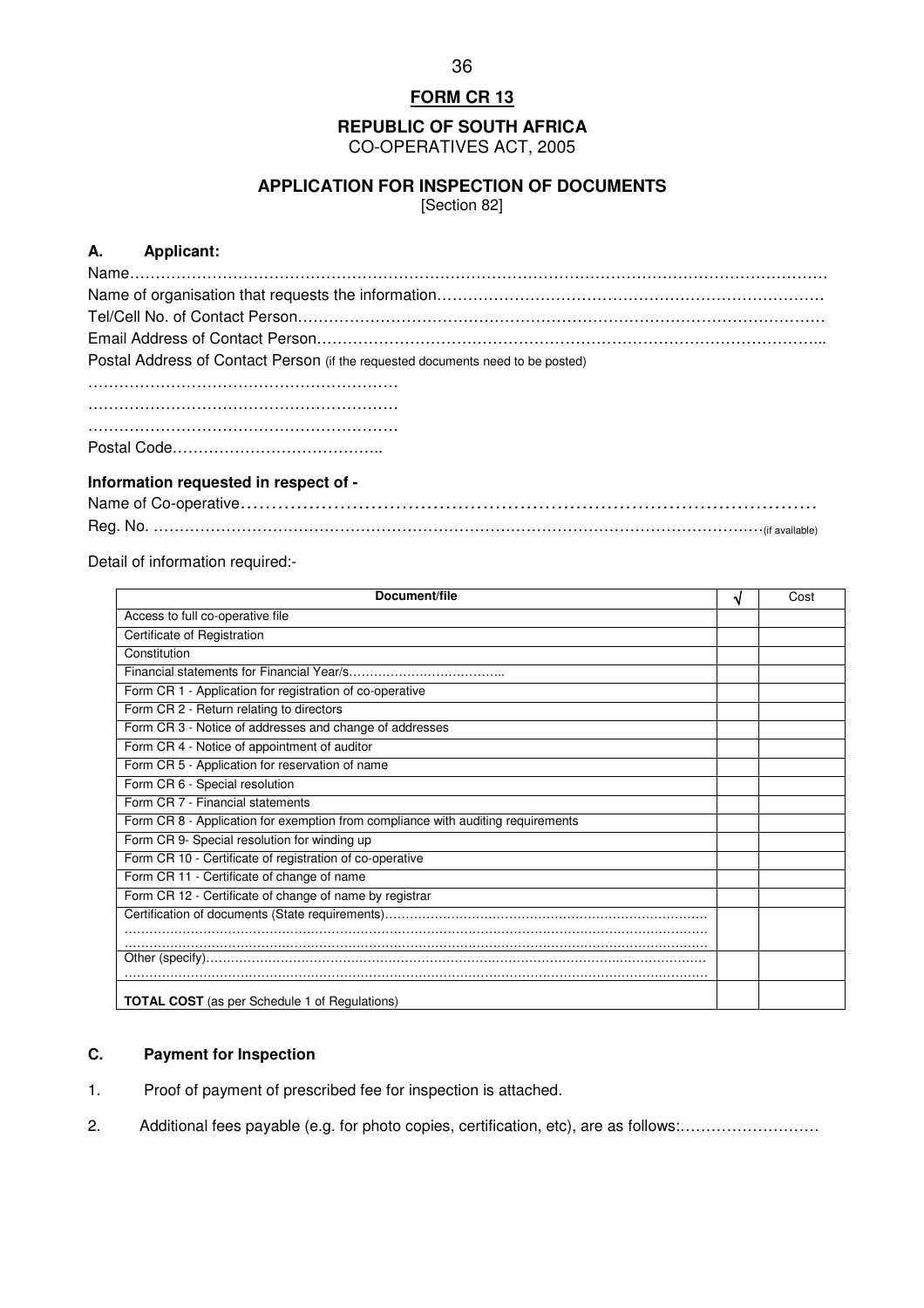**REPUBLIC OF SOUTH AFRICA**  CO-OPERATIVES ACT, 2005

### **APPLICATION FOR INSPECTION OF DOCUMENTS**

[Section 82]

### **A. Applicant:**

| Postal Address of Contact Person (if the requested documents need to be posted) |
|---------------------------------------------------------------------------------|
|                                                                                 |
|                                                                                 |
|                                                                                 |
|                                                                                 |

#### **Information requested in respect of -**

Detail of information required:-

| Document/file                                                                    | ิง | Cost |
|----------------------------------------------------------------------------------|----|------|
| Access to full co-operative file                                                 |    |      |
| Certificate of Registration                                                      |    |      |
| Constitution                                                                     |    |      |
|                                                                                  |    |      |
| Form CR 1 - Application for registration of co-operative                         |    |      |
| Form CR 2 - Return relating to directors                                         |    |      |
| Form CR 3 - Notice of addresses and change of addresses                          |    |      |
| Form CR 4 - Notice of appointment of auditor                                     |    |      |
| Form CR 5 - Application for reservation of name                                  |    |      |
| Form CR 6 - Special resolution                                                   |    |      |
| Form CR 7 - Financial statements                                                 |    |      |
| Form CR 8 - Application for exemption from compliance with auditing requirements |    |      |
| Form CR 9- Special resolution for winding up                                     |    |      |
| Form CR 10 - Certificate of registration of co-operative                         |    |      |
| Form CR 11 - Certificate of change of name                                       |    |      |
| Form CR 12 - Certificate of change of name by registrar                          |    |      |
|                                                                                  |    |      |
|                                                                                  |    |      |
|                                                                                  |    |      |
| <b>TOTAL COST</b> (as per Schedule 1 of Regulations)                             |    |      |

# **C. Payment for Inspection**

- 1. Proof of payment of prescribed fee for inspection is attached.
- 2. Additional fees payable (e.g. for photo copies, certification, etc), are as follows:………………………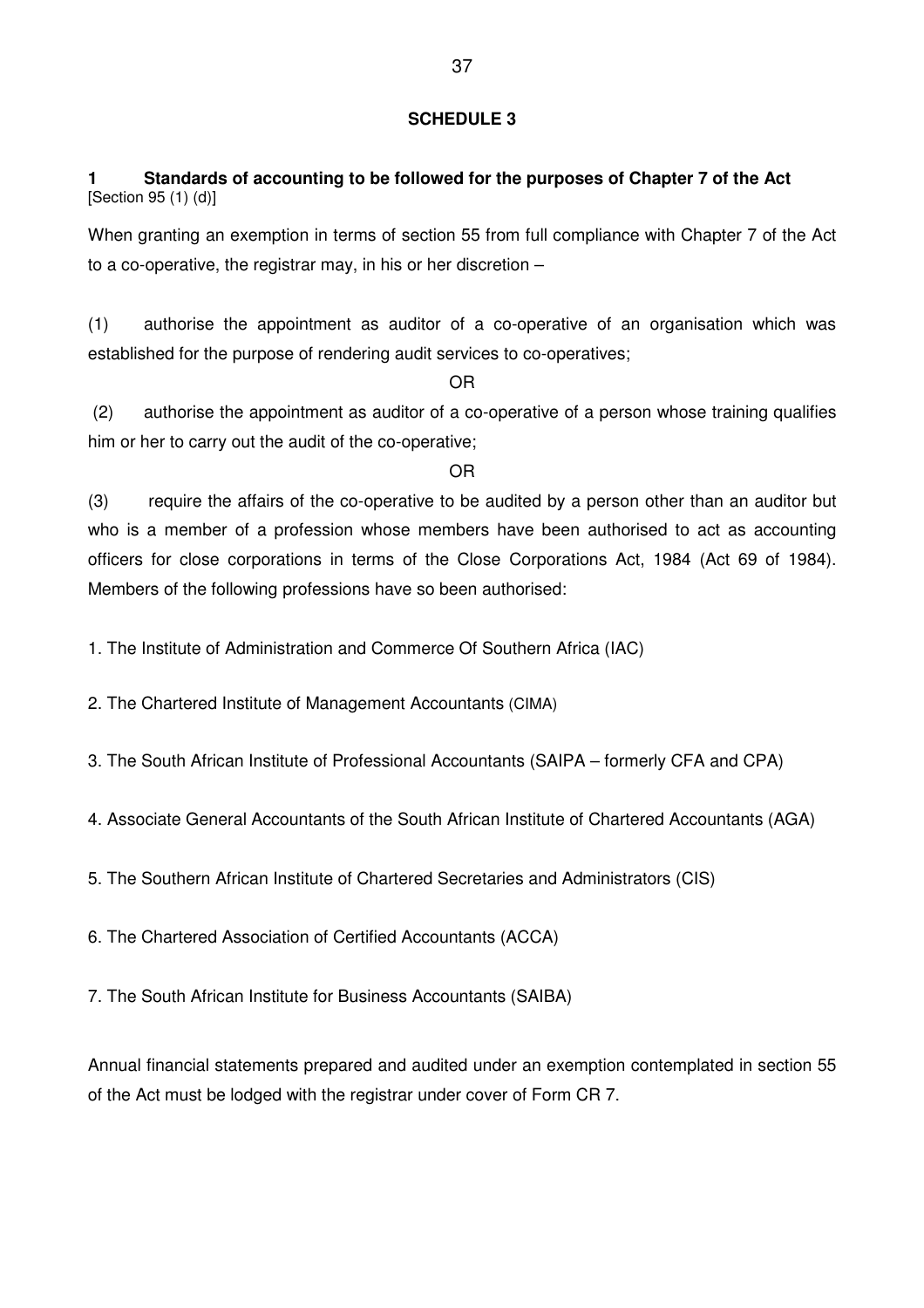# **SCHEDULE 3**

# **1 Standards of accounting to be followed for the purposes of Chapter 7 of the Act**  [Section 95 (1) (d)]

When granting an exemption in terms of section 55 from full compliance with Chapter 7 of the Act to a co-operative, the registrar may, in his or her discretion –

(1) authorise the appointment as auditor of a co-operative of an organisation which was established for the purpose of rendering audit services to co-operatives;

OR

 (2) authorise the appointment as auditor of a co-operative of a person whose training qualifies him or her to carry out the audit of the co-operative;

#### OR

(3) require the affairs of the co-operative to be audited by a person other than an auditor but who is a member of a profession whose members have been authorised to act as accounting officers for close corporations in terms of the Close Corporations Act, 1984 (Act 69 of 1984). Members of the following professions have so been authorised:

1. The Institute of Administration and Commerce Of Southern Africa (IAC)

2. The Chartered Institute of Management Accountants (CIMA)

3. The South African Institute of Professional Accountants (SAIPA – formerly CFA and CPA)

4. Associate General Accountants of the South African Institute of Chartered Accountants (AGA)

5. The Southern African Institute of Chartered Secretaries and Administrators (CIS)

6. The Chartered Association of Certified Accountants (ACCA)

7. The South African Institute for Business Accountants (SAIBA)

Annual financial statements prepared and audited under an exemption contemplated in section 55 of the Act must be lodged with the registrar under cover of Form CR 7.